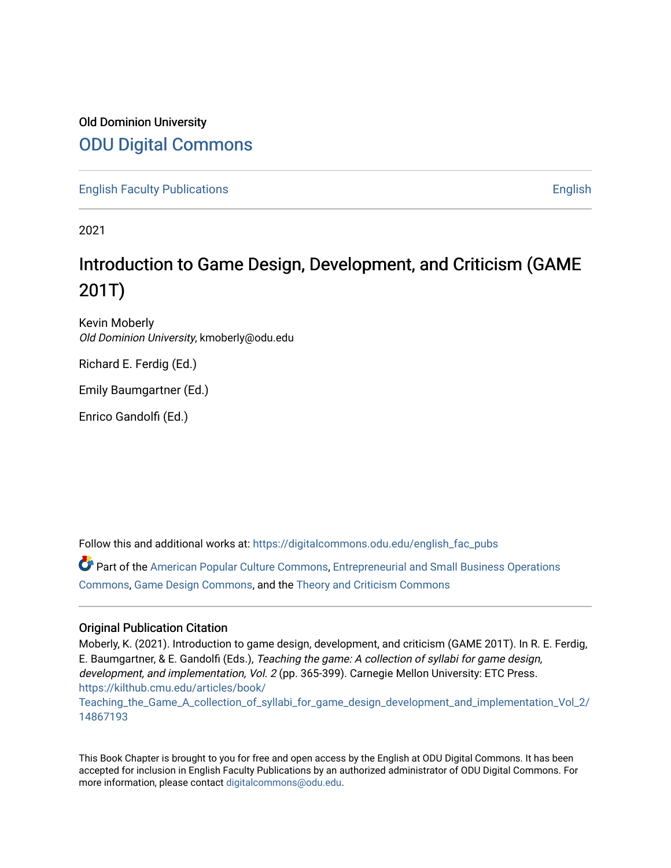## Old Dominion University [ODU Digital Commons](https://digitalcommons.odu.edu/)

[English Faculty Publications](https://digitalcommons.odu.edu/english_fac_pubs) [English](https://digitalcommons.odu.edu/english) 

2021

# Introduction to Game Design, Development, and Criticism (GAME 201T)

Kevin Moberly Old Dominion University, kmoberly@odu.edu

Richard E. Ferdig (Ed.)

Emily Baumgartner (Ed.)

Enrico Gandolfi (Ed.)

Follow this and additional works at: [https://digitalcommons.odu.edu/english\\_fac\\_pubs](https://digitalcommons.odu.edu/english_fac_pubs?utm_source=digitalcommons.odu.edu%2Fenglish_fac_pubs%2F184&utm_medium=PDF&utm_campaign=PDFCoverPages) 

Part of the [American Popular Culture Commons,](http://network.bepress.com/hgg/discipline/443?utm_source=digitalcommons.odu.edu%2Fenglish_fac_pubs%2F184&utm_medium=PDF&utm_campaign=PDFCoverPages) [Entrepreneurial and Small Business Operations](http://network.bepress.com/hgg/discipline/630?utm_source=digitalcommons.odu.edu%2Fenglish_fac_pubs%2F184&utm_medium=PDF&utm_campaign=PDFCoverPages)  [Commons](http://network.bepress.com/hgg/discipline/630?utm_source=digitalcommons.odu.edu%2Fenglish_fac_pubs%2F184&utm_medium=PDF&utm_campaign=PDFCoverPages), [Game Design Commons,](http://network.bepress.com/hgg/discipline/1133?utm_source=digitalcommons.odu.edu%2Fenglish_fac_pubs%2F184&utm_medium=PDF&utm_campaign=PDFCoverPages) and the [Theory and Criticism Commons](http://network.bepress.com/hgg/discipline/516?utm_source=digitalcommons.odu.edu%2Fenglish_fac_pubs%2F184&utm_medium=PDF&utm_campaign=PDFCoverPages) 

## Original Publication Citation

Moberly, K. (2021). Introduction to game design, development, and criticism (GAME 201T). In R. E. Ferdig, E. Baumgartner, & E. Gandolfi (Eds.), Teaching the game: A collection of syllabi for game design, development, and implementation, Vol. 2 (pp. 365-399). Carnegie Mellon University: ETC Press. [https://kilthub.cmu.edu/articles/book/](https://kilthub.cmu.edu/articles/book/Teaching_the_Game_A_collection_of_syllabi_for_game_design_development_and_implementation_Vol_2/14867193%20)

[Teaching\\_the\\_Game\\_A\\_collection\\_of\\_syllabi\\_for\\_game\\_design\\_development\\_and\\_implementation\\_Vol\\_2/](https://kilthub.cmu.edu/articles/book/Teaching_the_Game_A_collection_of_syllabi_for_game_design_development_and_implementation_Vol_2/14867193%20) [14867193](https://kilthub.cmu.edu/articles/book/Teaching_the_Game_A_collection_of_syllabi_for_game_design_development_and_implementation_Vol_2/14867193%20) 

This Book Chapter is brought to you for free and open access by the English at ODU Digital Commons. It has been accepted for inclusion in English Faculty Publications by an authorized administrator of ODU Digital Commons. For more information, please contact [digitalcommons@odu.edu.](mailto:digitalcommons@odu.edu)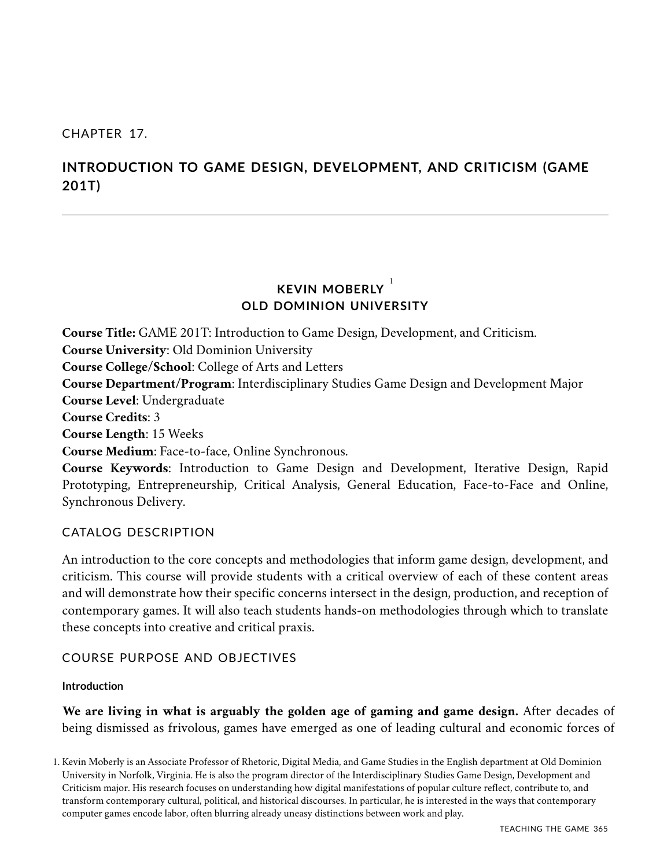## CHAPTER 17.

## **INTRODUCTION TO GAME DESIGN, DEVELOPMENT, AND CRITICISM (GAME 201T)**

## **KEVIN MOBERLY** 1 **OLD DOMINION UNIVERSITY**

**Course Title:** GAME 201T: Introduction to Game Design, Development, and Criticism. **Course University**: Old Dominion University **Course College/School**: College of Arts and Letters **Course Department/Program**: Interdisciplinary Studies Game Design and Development Major **Course Level**: Undergraduate **Course Credits**: 3 **Course Length**: 15 Weeks **Course Medium**: Face-to-face, Online Synchronous. **Course Keywords**: Introduction to Game Design and Development, Iterative Design, Rapid Prototyping, Entrepreneurship, Critical Analysis, General Education, Face-to-Face and Online,

## Synchronous Delivery.

## CATALOG DESCRIPTION

An introduction to the core concepts and methodologies that inform game design, development, and criticism. This course will provide students with a critical overview of each of these content areas and will demonstrate how their specific concerns intersect in the design, production, and reception of contemporary games. It will also teach students hands-on methodologies through which to translate these concepts into creative and critical praxis.

## COURSE PURPOSE AND OBJECTIVES

## **Introduction**

**We are living in what is arguably the golden age of gaming and game design.** After decades of being dismissed as frivolous, games have emerged as one of leading cultural and economic forces of

1. Kevin Moberly is an Associate Professor of Rhetoric, Digital Media, and Game Studies in the English department at Old Dominion University in Norfolk, Virginia. He is also the program director of the Interdisciplinary Studies Game Design, Development and Criticism major. His research focuses on understanding how digital manifestations of popular culture reflect, contribute to, and transform contemporary cultural, political, and historical discourses. In particular, he is interested in the ways that contemporary computer games encode labor, often blurring already uneasy distinctions between work and play.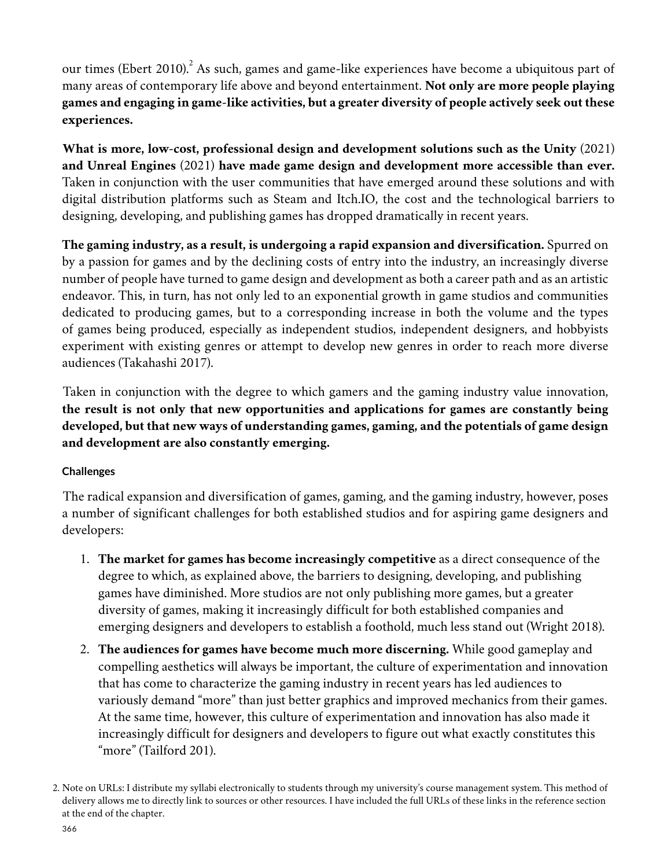our times (Ebert 2010). $^{2}$  As such, games and game-like experiences have become a ubiquitous part of many areas of contemporary life above and beyond entertainment. **Not only are more people playing games and engaging in game-like activities, but a greater diversity of people actively seek out these experiences.**

**What is more, low-cost, professional design and development solutions such as the Unity** (2021) **and Unreal Engines** (2021) **have made game design and development more accessible than ever.** Taken in conjunction with the user communities that have emerged around these solutions and with digital distribution platforms such as Steam and Itch.IO, the cost and the technological barriers to designing, developing, and publishing games has dropped dramatically in recent years.

**The gaming industry, as a result, is undergoing a rapid expansion and diversification.** Spurred on by a passion for games and by the declining costs of entry into the industry, an increasingly diverse number of people have turned to game design and development as both a career path and as an artistic endeavor. This, in turn, has not only led to an exponential growth in game studios and communities dedicated to producing games, but to a corresponding increase in both the volume and the types of games being produced, especially as independent studios, independent designers, and hobbyists experiment with existing genres or attempt to develop new genres in order to reach more diverse audiences (Takahashi 2017).

Taken in conjunction with the degree to which gamers and the gaming industry value innovation, **the result is not only that new opportunities and applications for games are constantly being developed, but that new ways of understanding games, gaming, and the potentials of game design and development are also constantly emerging.**

## **Challenges**

The radical expansion and diversification of games, gaming, and the gaming industry, however, poses a number of significant challenges for both established studios and for aspiring game designers and developers:

- 1. **The market for games has become increasingly competitive** as a direct consequence of the degree to which, as explained above, the barriers to designing, developing, and publishing games have diminished. More studios are not only publishing more games, but a greater diversity of games, making it increasingly difficult for both established companies and emerging designers and developers to establish a foothold, much less stand out (Wright 2018).
- 2. **The audiences for games have become much more discerning.** While good gameplay and compelling aesthetics will always be important, the culture of experimentation and innovation that has come to characterize the gaming industry in recent years has led audiences to variously demand "more" than just better graphics and improved mechanics from their games. At the same time, however, this culture of experimentation and innovation has also made it increasingly difficult for designers and developers to figure out what exactly constitutes this "more" (Tailford 201).

<sup>2.</sup> Note on URLs: I distribute my syllabi electronically to students through my university's course management system. This method of delivery allows me to directly link to sources or other resources. I have included the full URLs of these links in the reference section at the end of the chapter.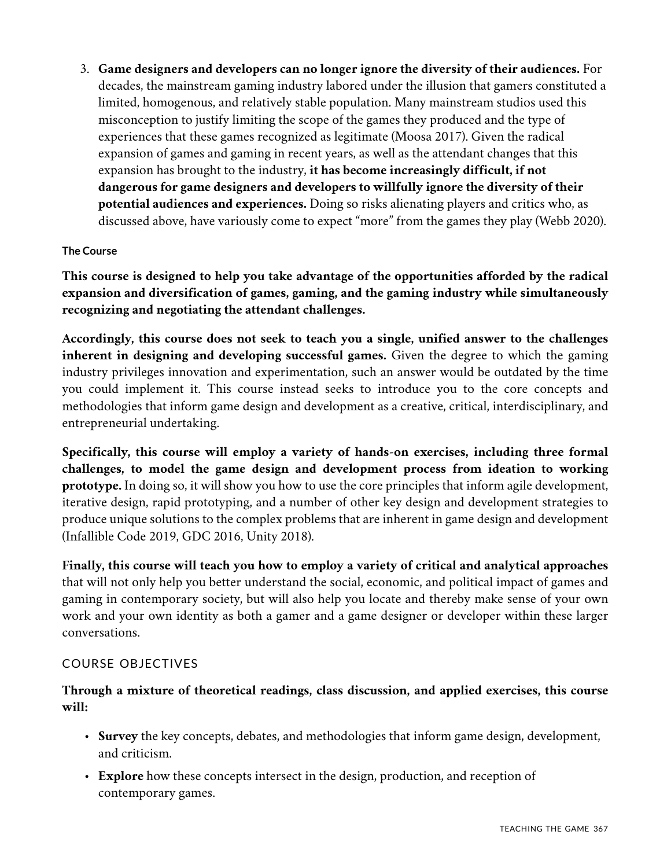3. **Game designers and developers can no longer ignore the diversity of their audiences.** For decades, the mainstream gaming industry labored under the illusion that gamers constituted a limited, homogenous, and relatively stable population. Many mainstream studios used this misconception to justify limiting the scope of the games they produced and the type of experiences that these games recognized as legitimate (Moosa 2017). Given the radical expansion of games and gaming in recent years, as well as the attendant changes that this expansion has brought to the industry, **it has become increasingly difficult, if not dangerous for game designers and developers to willfully ignore the diversity of their potential audiences and experiences.** Doing so risks alienating players and critics who, as discussed above, have variously come to expect "more" from the games they play (Webb 2020).

## **The Course**

**This course is designed to help you take advantage of the opportunities afforded by the radical expansion and diversification of games, gaming, and the gaming industry while simultaneously recognizing and negotiating the attendant challenges.**

**Accordingly, this course does not seek to teach you a single, unified answer to the challenges inherent in designing and developing successful games.** Given the degree to which the gaming industry privileges innovation and experimentation, such an answer would be outdated by the time you could implement it. This course instead seeks to introduce you to the core concepts and methodologies that inform game design and development as a creative, critical, interdisciplinary, and entrepreneurial undertaking.

**Specifically, this course will employ a variety of hands-on exercises, including three formal challenges, to model the game design and development process from ideation to working prototype.** In doing so, it will show you how to use the core principles that inform agile development, iterative design, rapid prototyping, and a number of other key design and development strategies to produce unique solutions to the complex problems that are inherent in game design and development (Infallible Code 2019, GDC 2016, Unity 2018).

**Finally, this course will teach you how to employ a variety of critical and analytical approaches** that will not only help you better understand the social, economic, and political impact of games and gaming in contemporary society, but will also help you locate and thereby make sense of your own work and your own identity as both a gamer and a game designer or developer within these larger conversations.

## COURSE OBJECTIVES

## **Through a mixture of theoretical readings, class discussion, and applied exercises, this course will:**

- **Survey** the key concepts, debates, and methodologies that inform game design, development, and criticism.
- **Explore** how these concepts intersect in the design, production, and reception of contemporary games.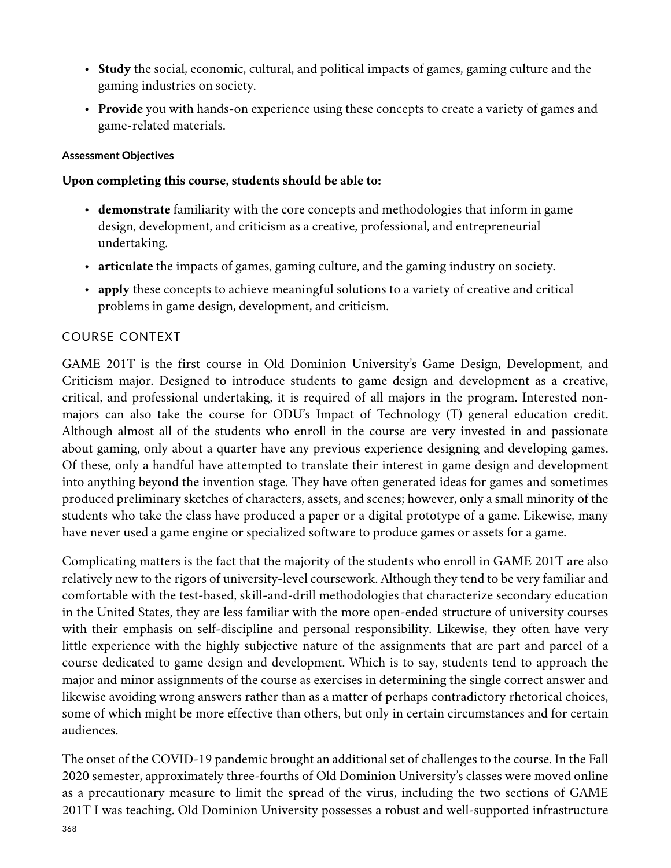- **Study** the social, economic, cultural, and political impacts of games, gaming culture and the gaming industries on society.
- **Provide** you with hands-on experience using these concepts to create a variety of games and game-related materials.

## **Assessment Objectives**

## **Upon completing this course, students should be able to:**

- **demonstrate** familiarity with the core concepts and methodologies that inform in game design, development, and criticism as a creative, professional, and entrepreneurial undertaking.
- **articulate** the impacts of games, gaming culture, and the gaming industry on society.
- **apply** these concepts to achieve meaningful solutions to a variety of creative and critical problems in game design, development, and criticism.

## COURSE CONTEXT

GAME 201T is the first course in Old Dominion University's Game Design, Development, and Criticism major. Designed to introduce students to game design and development as a creative, critical, and professional undertaking, it is required of all majors in the program. Interested nonmajors can also take the course for ODU's Impact of Technology (T) general education credit. Although almost all of the students who enroll in the course are very invested in and passionate about gaming, only about a quarter have any previous experience designing and developing games. Of these, only a handful have attempted to translate their interest in game design and development into anything beyond the invention stage. They have often generated ideas for games and sometimes produced preliminary sketches of characters, assets, and scenes; however, only a small minority of the students who take the class have produced a paper or a digital prototype of a game. Likewise, many have never used a game engine or specialized software to produce games or assets for a game.

Complicating matters is the fact that the majority of the students who enroll in GAME 201T are also relatively new to the rigors of university-level coursework. Although they tend to be very familiar and comfortable with the test-based, skill-and-drill methodologies that characterize secondary education in the United States, they are less familiar with the more open-ended structure of university courses with their emphasis on self-discipline and personal responsibility. Likewise, they often have very little experience with the highly subjective nature of the assignments that are part and parcel of a course dedicated to game design and development. Which is to say, students tend to approach the major and minor assignments of the course as exercises in determining the single correct answer and likewise avoiding wrong answers rather than as a matter of perhaps contradictory rhetorical choices, some of which might be more effective than others, but only in certain circumstances and for certain audiences.

The onset of the COVID-19 pandemic brought an additional set of challenges to the course. In the Fall 2020 semester, approximately three-fourths of Old Dominion University's classes were moved online as a precautionary measure to limit the spread of the virus, including the two sections of GAME 201T I was teaching. Old Dominion University possesses a robust and well-supported infrastructure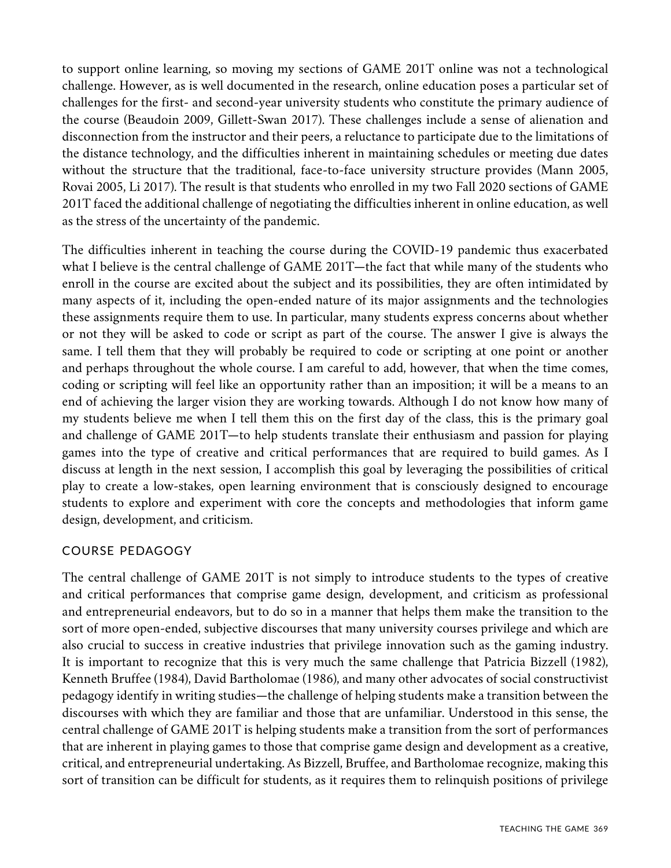to support online learning, so moving my sections of GAME 201T online was not a technological challenge. However, as is well documented in the research, online education poses a particular set of challenges for the first- and second-year university students who constitute the primary audience of the course (Beaudoin 2009, Gillett-Swan 2017). These challenges include a sense of alienation and disconnection from the instructor and their peers, a reluctance to participate due to the limitations of the distance technology, and the difficulties inherent in maintaining schedules or meeting due dates without the structure that the traditional, face-to-face university structure provides (Mann 2005, Rovai 2005, Li 2017). The result is that students who enrolled in my two Fall 2020 sections of GAME 201T faced the additional challenge of negotiating the difficulties inherent in online education, as well as the stress of the uncertainty of the pandemic.

The difficulties inherent in teaching the course during the COVID-19 pandemic thus exacerbated what I believe is the central challenge of GAME 201T—the fact that while many of the students who enroll in the course are excited about the subject and its possibilities, they are often intimidated by many aspects of it, including the open-ended nature of its major assignments and the technologies these assignments require them to use. In particular, many students express concerns about whether or not they will be asked to code or script as part of the course. The answer I give is always the same. I tell them that they will probably be required to code or scripting at one point or another and perhaps throughout the whole course. I am careful to add, however, that when the time comes, coding or scripting will feel like an opportunity rather than an imposition; it will be a means to an end of achieving the larger vision they are working towards. Although I do not know how many of my students believe me when I tell them this on the first day of the class, this is the primary goal and challenge of GAME 201T—to help students translate their enthusiasm and passion for playing games into the type of creative and critical performances that are required to build games. As I discuss at length in the next session, I accomplish this goal by leveraging the possibilities of critical play to create a low-stakes, open learning environment that is consciously designed to encourage students to explore and experiment with core the concepts and methodologies that inform game design, development, and criticism.

## COURSE PEDAGOGY

The central challenge of GAME 201T is not simply to introduce students to the types of creative and critical performances that comprise game design, development, and criticism as professional and entrepreneurial endeavors, but to do so in a manner that helps them make the transition to the sort of more open-ended, subjective discourses that many university courses privilege and which are also crucial to success in creative industries that privilege innovation such as the gaming industry. It is important to recognize that this is very much the same challenge that Patricia Bizzell (1982), Kenneth Bruffee (1984), David Bartholomae (1986), and many other advocates of social constructivist pedagogy identify in writing studies—the challenge of helping students make a transition between the discourses with which they are familiar and those that are unfamiliar. Understood in this sense, the central challenge of GAME 201T is helping students make a transition from the sort of performances that are inherent in playing games to those that comprise game design and development as a creative, critical, and entrepreneurial undertaking. As Bizzell, Bruffee, and Bartholomae recognize, making this sort of transition can be difficult for students, as it requires them to relinquish positions of privilege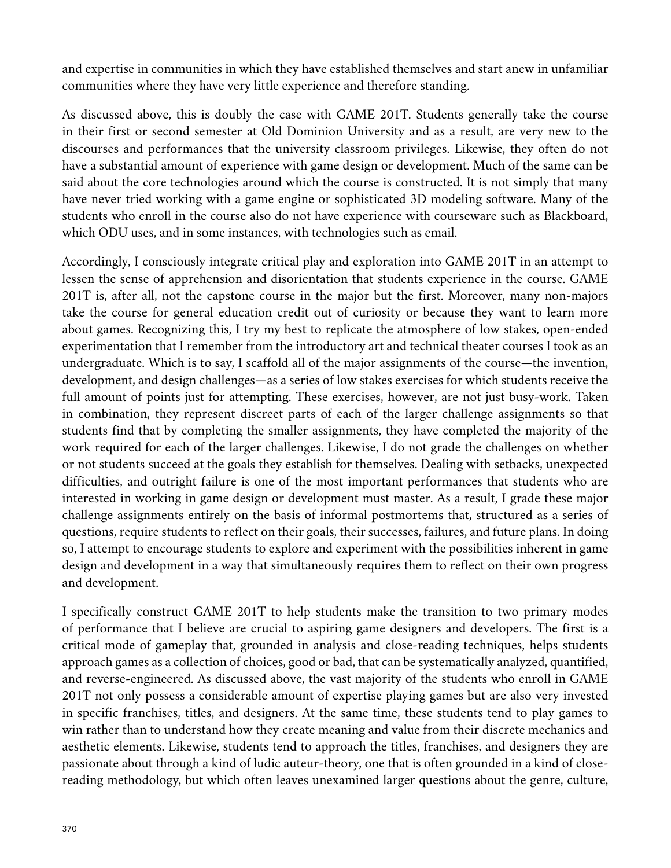and expertise in communities in which they have established themselves and start anew in unfamiliar communities where they have very little experience and therefore standing.

As discussed above, this is doubly the case with GAME 201T. Students generally take the course in their first or second semester at Old Dominion University and as a result, are very new to the discourses and performances that the university classroom privileges. Likewise, they often do not have a substantial amount of experience with game design or development. Much of the same can be said about the core technologies around which the course is constructed. It is not simply that many have never tried working with a game engine or sophisticated 3D modeling software. Many of the students who enroll in the course also do not have experience with courseware such as Blackboard, which ODU uses, and in some instances, with technologies such as email.

Accordingly, I consciously integrate critical play and exploration into GAME 201T in an attempt to lessen the sense of apprehension and disorientation that students experience in the course. GAME 201T is, after all, not the capstone course in the major but the first. Moreover, many non-majors take the course for general education credit out of curiosity or because they want to learn more about games. Recognizing this, I try my best to replicate the atmosphere of low stakes, open-ended experimentation that I remember from the introductory art and technical theater courses I took as an undergraduate. Which is to say, I scaffold all of the major assignments of the course—the invention, development, and design challenges—as a series of low stakes exercises for which students receive the full amount of points just for attempting. These exercises, however, are not just busy-work. Taken in combination, they represent discreet parts of each of the larger challenge assignments so that students find that by completing the smaller assignments, they have completed the majority of the work required for each of the larger challenges. Likewise, I do not grade the challenges on whether or not students succeed at the goals they establish for themselves. Dealing with setbacks, unexpected difficulties, and outright failure is one of the most important performances that students who are interested in working in game design or development must master. As a result, I grade these major challenge assignments entirely on the basis of informal postmortems that, structured as a series of questions, require students to reflect on their goals, their successes, failures, and future plans. In doing so, I attempt to encourage students to explore and experiment with the possibilities inherent in game design and development in a way that simultaneously requires them to reflect on their own progress and development.

I specifically construct GAME 201T to help students make the transition to two primary modes of performance that I believe are crucial to aspiring game designers and developers. The first is a critical mode of gameplay that, grounded in analysis and close-reading techniques, helps students approach games as a collection of choices, good or bad, that can be systematically analyzed, quantified, and reverse-engineered. As discussed above, the vast majority of the students who enroll in GAME 201T not only possess a considerable amount of expertise playing games but are also very invested in specific franchises, titles, and designers. At the same time, these students tend to play games to win rather than to understand how they create meaning and value from their discrete mechanics and aesthetic elements. Likewise, students tend to approach the titles, franchises, and designers they are passionate about through a kind of ludic auteur-theory, one that is often grounded in a kind of closereading methodology, but which often leaves unexamined larger questions about the genre, culture,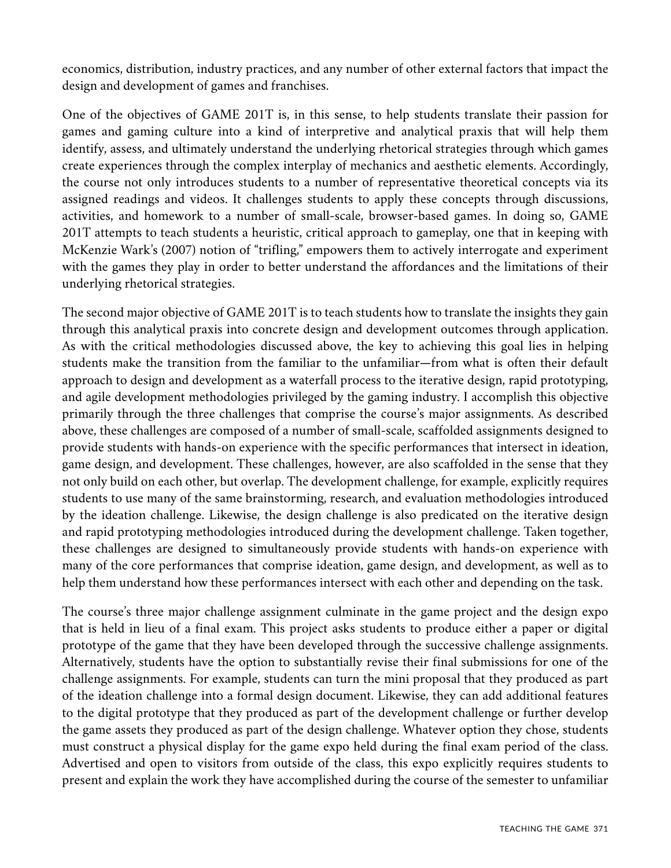economics, distribution, industry practices, and any number of other external factors that impact the design and development of games and franchises.

One of the objectives of GAME 201T is, in this sense, to help students translate their passion for games and gaming culture into a kind of interpretive and analytical praxis that will help them identify, assess, and ultimately understand the underlying rhetorical strategies through which games create experiences through the complex interplay of mechanics and aesthetic elements. Accordingly, the course not only introduces students to a number of representative theoretical concepts via its assigned readings and videos. It challenges students to apply these concepts through discussions, activities, and homework to a number of small-scale, browser-based games. In doing so, GAME 201T attempts to teach students a heuristic, critical approach to gameplay, one that in keeping with McKenzie Wark's (2007) notion of "trifling," empowers them to actively interrogate and experiment with the games they play in order to better understand the affordances and the limitations of their underlying rhetorical strategies.

The second major objective of GAME 201T is to teach students how to translate the insights they gain through this analytical praxis into concrete design and development outcomes through application. As with the critical methodologies discussed above, the key to achieving this goal lies in helping students make the transition from the familiar to the unfamiliar—from what is often their default approach to design and development as a waterfall process to the iterative design, rapid prototyping, and agile development methodologies privileged by the gaming industry. I accomplish this objective primarily through the three challenges that comprise the course's major assignments. As described above, these challenges are composed of a number of small-scale, scaffolded assignments designed to provide students with hands-on experience with the specific performances that intersect in ideation, game design, and development. These challenges, however, are also scaffolded in the sense that they not only build on each other, but overlap. The development challenge, for example, explicitly requires students to use many of the same brainstorming, research, and evaluation methodologies introduced by the ideation challenge. Likewise, the design challenge is also predicated on the iterative design and rapid prototyping methodologies introduced during the development challenge. Taken together, these challenges are designed to simultaneously provide students with hands-on experience with many of the core performances that comprise ideation, game design, and development, as well as to help them understand how these performances intersect with each other and depending on the task.

The course's three major challenge assignment culminate in the game project and the design expo that is held in lieu of a final exam. This project asks students to produce either a paper or digital prototype of the game that they have been developed through the successive challenge assignments. Alternatively, students have the option to substantially revise their final submissions for one of the challenge assignments. For example, students can turn the mini proposal that they produced as part of the ideation challenge into a formal design document. Likewise, they can add additional features to the digital prototype that they produced as part of the development challenge or further develop the game assets they produced as part of the design challenge. Whatever option they chose, students must construct a physical display for the game expo held during the final exam period of the class. Advertised and open to visitors from outside of the class, this expo explicitly requires students to present and explain the work they have accomplished during the course of the semester to unfamiliar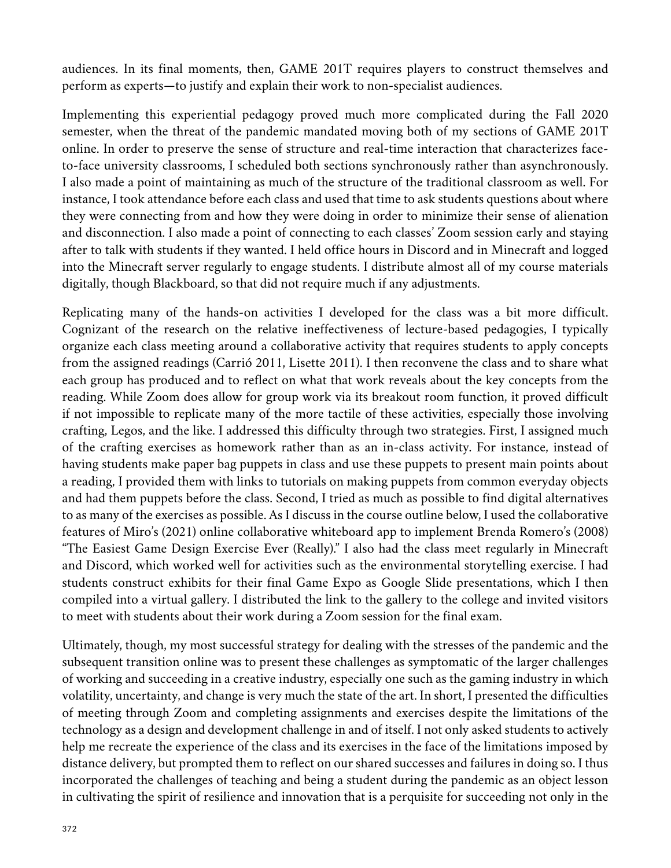audiences. In its final moments, then, GAME 201T requires players to construct themselves and perform as experts—to justify and explain their work to non-specialist audiences.

Implementing this experiential pedagogy proved much more complicated during the Fall 2020 semester, when the threat of the pandemic mandated moving both of my sections of GAME 201T online. In order to preserve the sense of structure and real-time interaction that characterizes faceto-face university classrooms, I scheduled both sections synchronously rather than asynchronously. I also made a point of maintaining as much of the structure of the traditional classroom as well. For instance, I took attendance before each class and used that time to ask students questions about where they were connecting from and how they were doing in order to minimize their sense of alienation and disconnection. I also made a point of connecting to each classes' Zoom session early and staying after to talk with students if they wanted. I held office hours in Discord and in Minecraft and logged into the Minecraft server regularly to engage students. I distribute almost all of my course materials digitally, though Blackboard, so that did not require much if any adjustments.

Replicating many of the hands-on activities I developed for the class was a bit more difficult. Cognizant of the research on the relative ineffectiveness of lecture-based pedagogies, I typically organize each class meeting around a collaborative activity that requires students to apply concepts from the assigned readings (Carrió 2011, Lisette 2011). I then reconvene the class and to share what each group has produced and to reflect on what that work reveals about the key concepts from the reading. While Zoom does allow for group work via its breakout room function, it proved difficult if not impossible to replicate many of the more tactile of these activities, especially those involving crafting, Legos, and the like. I addressed this difficulty through two strategies. First, I assigned much of the crafting exercises as homework rather than as an in-class activity. For instance, instead of having students make paper bag puppets in class and use these puppets to present main points about a reading, I provided them with links to tutorials on making puppets from common everyday objects and had them puppets before the class. Second, I tried as much as possible to find digital alternatives to as many of the exercises as possible. As I discuss in the course outline below, I used the collaborative features of Miro's (2021) online collaborative whiteboard app to implement Brenda Romero's (2008) "The Easiest Game Design Exercise Ever (Really)." I also had the class meet regularly in Minecraft and Discord, which worked well for activities such as the environmental storytelling exercise. I had students construct exhibits for their final Game Expo as Google Slide presentations, which I then compiled into a virtual gallery. I distributed the link to the gallery to the college and invited visitors to meet with students about their work during a Zoom session for the final exam.

Ultimately, though, my most successful strategy for dealing with the stresses of the pandemic and the subsequent transition online was to present these challenges as symptomatic of the larger challenges of working and succeeding in a creative industry, especially one such as the gaming industry in which volatility, uncertainty, and change is very much the state of the art. In short, I presented the difficulties of meeting through Zoom and completing assignments and exercises despite the limitations of the technology as a design and development challenge in and of itself. I not only asked students to actively help me recreate the experience of the class and its exercises in the face of the limitations imposed by distance delivery, but prompted them to reflect on our shared successes and failures in doing so. I thus incorporated the challenges of teaching and being a student during the pandemic as an object lesson in cultivating the spirit of resilience and innovation that is a perquisite for succeeding not only in the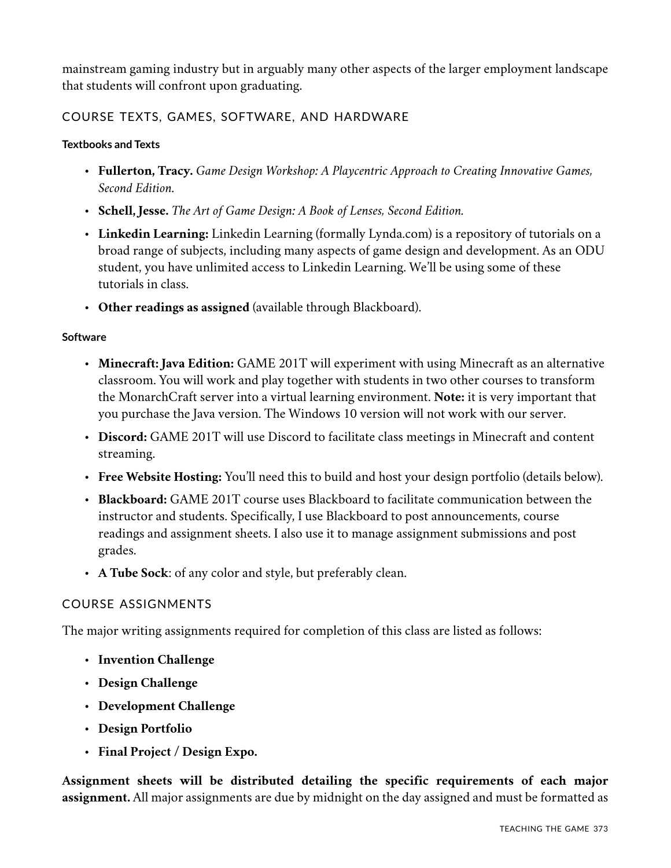mainstream gaming industry but in arguably many other aspects of the larger employment landscape that students will confront upon graduating.

## COURSE TEXTS, GAMES, SOFTWARE, AND HARDWARE

## **Textbooks and Texts**

- **Fullerton, Tracy.** *Game Design Workshop: A Playcentric Approach to Creating Innovative Games, Second Edition.*
- **Schell, Jesse.** *The Art of Game Design: A Book of Lenses, Second Edition.*
- **Linkedin Learning:** Linkedin Learning (formally Lynda.com) is a repository of tutorials on a broad range of subjects, including many aspects of game design and development. As an ODU student, you have unlimited access to Linkedin Learning. We'll be using some of these tutorials in class.
- **Other readings as assigned** (available through Blackboard).

## **Software**

- **Minecraft: Java Edition:** GAME 201T will experiment with using Minecraft as an alternative classroom. You will work and play together with students in two other courses to transform the MonarchCraft server into a virtual learning environment. **Note:** it is very important that you purchase the Java version. The Windows 10 version will not work with our server.
- **Discord:** GAME 201T will use Discord to facilitate class meetings in Minecraft and content streaming.
- **Free Website Hosting:** You'll need this to build and host your design portfolio (details below).
- **Blackboard:** GAME 201T course uses Blackboard to facilitate communication between the instructor and students. Specifically, I use Blackboard to post announcements, course readings and assignment sheets. I also use it to manage assignment submissions and post grades.
- **A Tube Sock**: of any color and style, but preferably clean.

## COURSE ASSIGNMENTS

The major writing assignments required for completion of this class are listed as follows:

- **Invention Challenge**
- **Design Challenge**
- **Development Challenge**
- **Design Portfolio**
- **Final Project / Design Expo.**

**Assignment sheets will be distributed detailing the specific requirements of each major assignment.** All major assignments are due by midnight on the day assigned and must be formatted as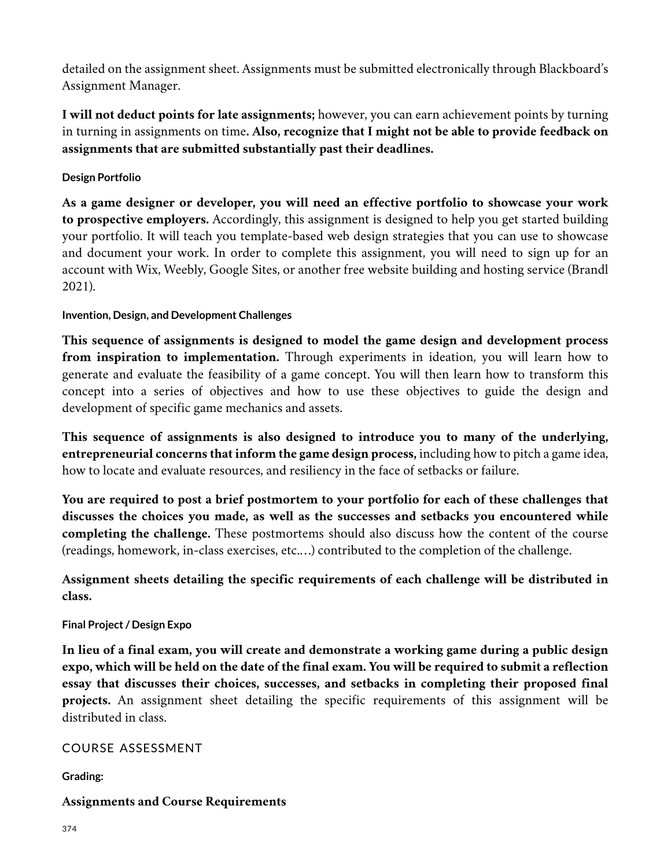detailed on the assignment sheet. Assignments must be submitted electronically through Blackboard's Assignment Manager.

**I will not deduct points for late assignments;** however, you can earn achievement points by turning in turning in assignments on time**. Also, recognize that I might not be able to provide feedback on assignments that are submitted substantially past their deadlines.**

**Design Portfolio**

**As a game designer or developer, you will need an effective portfolio to showcase your work to prospective employers.** Accordingly, this assignment is designed to help you get started building your portfolio. It will teach you template-based web design strategies that you can use to showcase and document your work. In order to complete this assignment, you will need to sign up for an account with Wix, Weebly, Google Sites, or another free website building and hosting service (Brandl 2021).

## **Invention, Design, and Development Challenges**

**This sequence of assignments is designed to model the game design and development process from inspiration to implementation.** Through experiments in ideation, you will learn how to generate and evaluate the feasibility of a game concept. You will then learn how to transform this concept into a series of objectives and how to use these objectives to guide the design and development of specific game mechanics and assets.

**This sequence of assignments is also designed to introduce you to many of the underlying, entrepreneurial concerns that inform the game design process,** including how to pitch a game idea, how to locate and evaluate resources, and resiliency in the face of setbacks or failure.

**You are required to post a brief postmortem to your portfolio for each of these challenges that discusses the choices you made, as well as the successes and setbacks you encountered while completing the challenge.** These postmortems should also discuss how the content of the course (readings, homework, in-class exercises, etc.…) contributed to the completion of the challenge.

**Assignment sheets detailing the specific requirements of each challenge will be distributed in class.**

## **Final Project / Design Expo**

**In lieu of a final exam, you will create and demonstrate a working game during a public design expo, which will be held on the date of the final exam. You will be required to submit a reflection essay that discusses their choices, successes, and setbacks in completing their proposed final projects.** An assignment sheet detailing the specific requirements of this assignment will be distributed in class.

## COURSE ASSESSMENT

**Grading:**

## **Assignments and Course Requirements**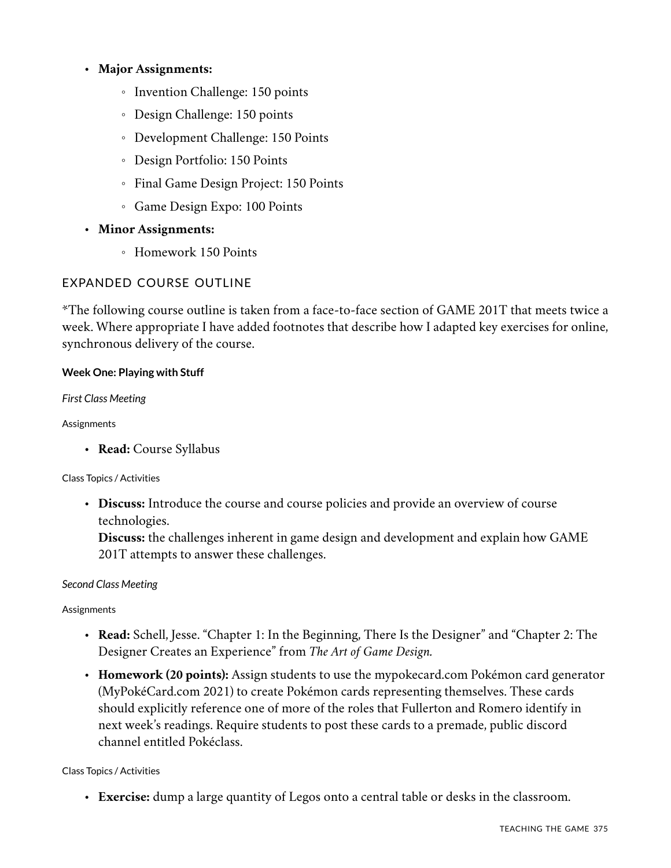## • **Major Assignments:**

- Invention Challenge: 150 points
- Design Challenge: 150 points
- Development Challenge: 150 Points
- Design Portfolio: 150 Points
- Final Game Design Project: 150 Points
- Game Design Expo: 100 Points
- **Minor Assignments:**
	- Homework 150 Points

## EXPANDED COURSE OUTLINE

\*The following course outline is taken from a face-to-face section of GAME 201T that meets twice a week. Where appropriate I have added footnotes that describe how I adapted key exercises for online, synchronous delivery of the course.

#### **Week One: Playing with Stuff**

*First Class Meeting*

#### Assignments

• **Read:** Course Syllabus

#### Class Topics / Activities

• **Discuss:** Introduce the course and course policies and provide an overview of course technologies.

**Discuss:** the challenges inherent in game design and development and explain how GAME 201T attempts to answer these challenges.

#### *Second Class Meeting*

#### Assignments

- **Read:** Schell, Jesse. "Chapter 1: In the Beginning, There Is the Designer" and "Chapter 2: The Designer Creates an Experience" from *The Art of Game Design.*
- **Homework (20 points):** Assign students to use the mypokecard.com Pokémon card generator (MyPokéCard.com 2021) to create Pokémon cards representing themselves. These cards should explicitly reference one of more of the roles that Fullerton and Romero identify in next week's readings. Require students to post these cards to a premade, public discord channel entitled Pokéclass.

#### Class Topics / Activities

• **Exercise:** dump a large quantity of Legos onto a central table or desks in the classroom.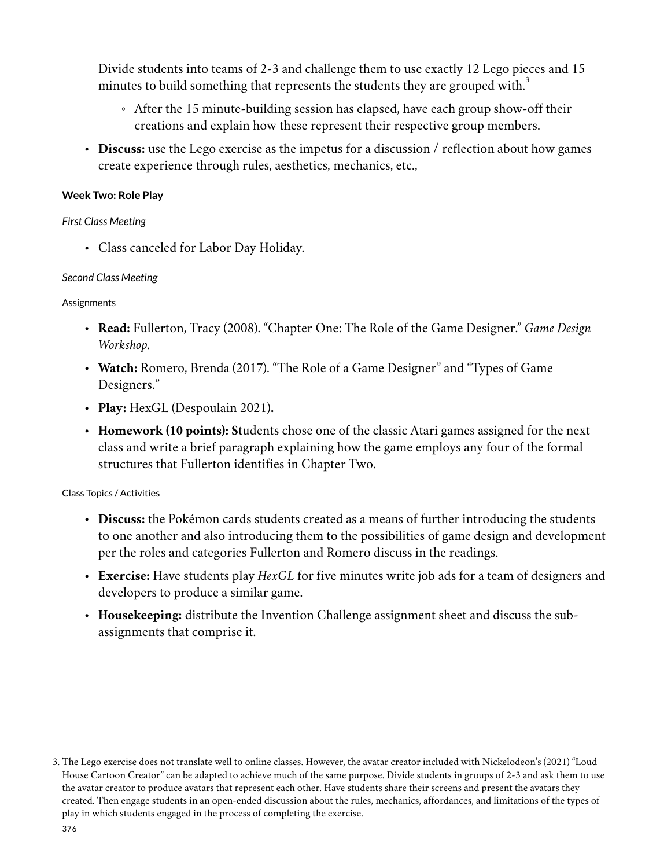Divide students into teams of 2-3 and challenge them to use exactly 12 Lego pieces and 15 minutes to build something that represents the students they are grouped with.<sup>3</sup>

- After the 15 minute-building session has elapsed, have each group show-off their creations and explain how these represent their respective group members.
- **Discuss:** use the Lego exercise as the impetus for a discussion / reflection about how games create experience through rules, aesthetics, mechanics, etc.,

### **Week Two: Role Play**

#### *First Class Meeting*

• Class canceled for Labor Day Holiday.

#### *Second Class Meeting*

#### Assignments

- **Read:** Fullerton, Tracy (2008). "Chapter One: The Role of the Game Designer." *Game Design Workshop.*
- **Watch:** Romero, Brenda (2017). "The Role of a Game Designer" and "Types of Game Designers."
- **Play:** HexGL (Despoulain 2021)**.**
- **Homework (10 points): S**tudents chose one of the classic Atari games assigned for the next class and write a brief paragraph explaining how the game employs any four of the formal structures that Fullerton identifies in Chapter Two.

- **Discuss:** the Pokémon cards students created as a means of further introducing the students to one another and also introducing them to the possibilities of game design and development per the roles and categories Fullerton and Romero discuss in the readings.
- **Exercise:** Have students play *HexGL* for five minutes write job ads for a team of designers and developers to produce a similar game.
- **Housekeeping:** distribute the Invention Challenge assignment sheet and discuss the subassignments that comprise it.

<sup>3.</sup> The Lego exercise does not translate well to online classes. However, the avatar creator included with Nickelodeon's (2021) "Loud House Cartoon Creator" can be adapted to achieve much of the same purpose. Divide students in groups of 2-3 and ask them to use the avatar creator to produce avatars that represent each other. Have students share their screens and present the avatars they created. Then engage students in an open-ended discussion about the rules, mechanics, affordances, and limitations of the types of play in which students engaged in the process of completing the exercise.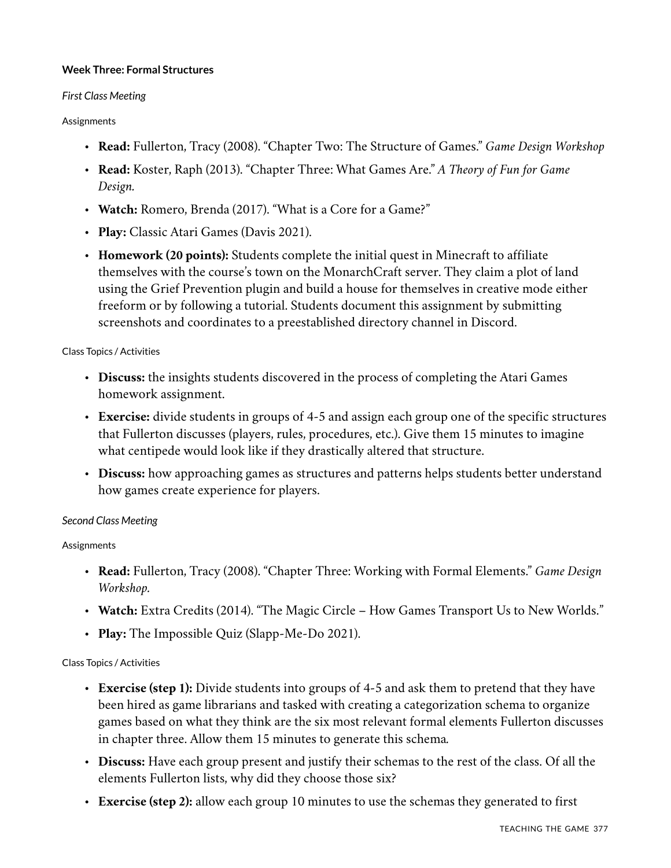#### **Week Three: Formal Structures**

#### *First Class Meeting*

#### Assignments

- **Read:** Fullerton, Tracy (2008). "Chapter Two: The Structure of Games." *Game Design Workshop*
- **Read:** Koster, Raph (2013). "Chapter Three: What Games Are." *A Theory of Fun for Game Design.*
- **Watch:** Romero, Brenda (2017). "What is a Core for a Game?"
- **Play:** Classic Atari Games (Davis 2021).
- **Homework (20 points):** Students complete the initial quest in Minecraft to affiliate themselves with the course's town on the MonarchCraft server. They claim a plot of land using the Grief Prevention plugin and build a house for themselves in creative mode either freeform or by following a tutorial. Students document this assignment by submitting screenshots and coordinates to a preestablished directory channel in Discord.

#### Class Topics / Activities

- **Discuss:** the insights students discovered in the process of completing the Atari Games homework assignment.
- **Exercise:** divide students in groups of 4-5 and assign each group one of the specific structures that Fullerton discusses (players, rules, procedures, etc.). Give them 15 minutes to imagine what centipede would look like if they drastically altered that structure.
- **Discuss:** how approaching games as structures and patterns helps students better understand how games create experience for players.

#### *Second Class Meeting*

#### **Assignments**

- **Read:** Fullerton, Tracy (2008). "Chapter Three: Working with Formal Elements." *Game Design Workshop.*
- **Watch:** Extra Credits (2014). "The Magic Circle How Games Transport Us to New Worlds."
- **Play:** The Impossible Quiz (Slapp-Me-Do 2021).

- **Exercise (step 1):** Divide students into groups of 4-5 and ask them to pretend that they have been hired as game librarians and tasked with creating a categorization schema to organize games based on what they think are the six most relevant formal elements Fullerton discusses in chapter three. Allow them 15 minutes to generate this schema*.*
- **Discuss:** Have each group present and justify their schemas to the rest of the class. Of all the elements Fullerton lists, why did they choose those six?
- **Exercise (step 2):** allow each group 10 minutes to use the schemas they generated to first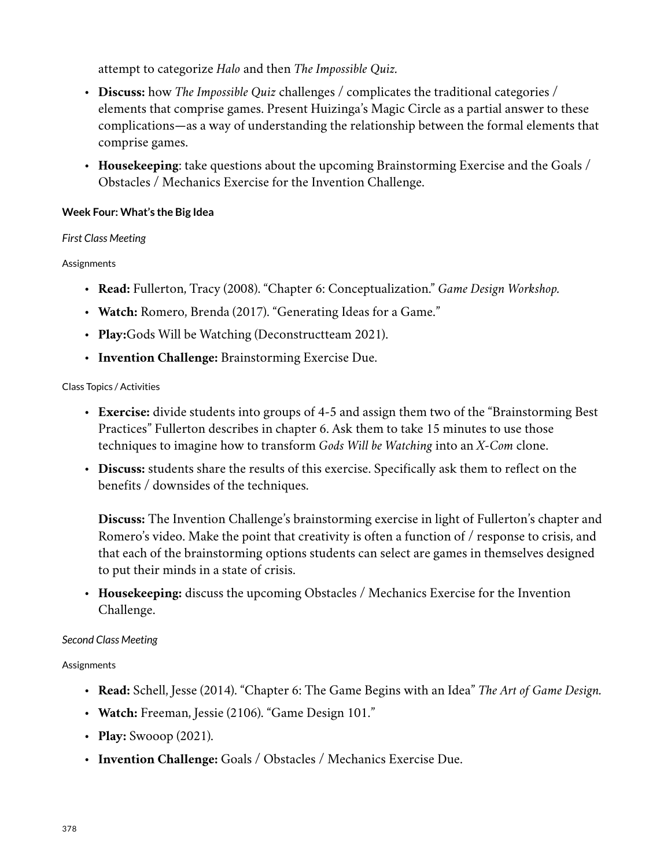attempt to categorize *Halo* and then *The Impossible Quiz.*

- **Discuss:** how *The Impossible Quiz* challenges / complicates the traditional categories / elements that comprise games. Present Huizinga's Magic Circle as a partial answer to these complications—as a way of understanding the relationship between the formal elements that comprise games.
- **Housekeeping**: take questions about the upcoming Brainstorming Exercise and the Goals / Obstacles / Mechanics Exercise for the Invention Challenge.

## **Week Four: What's the Big Idea**

#### *First Class Meeting*

#### **Assignments**

- **Read:** Fullerton, Tracy (2008). "Chapter 6: Conceptualization." *Game Design Workshop.*
- **Watch:** Romero, Brenda (2017). "Generating Ideas for a Game."
- **Play:**Gods Will be Watching (Deconstructteam 2021).
- **Invention Challenge:** Brainstorming Exercise Due.

#### Class Topics / Activities

- **Exercise:** divide students into groups of 4-5 and assign them two of the "Brainstorming Best Practices" Fullerton describes in chapter 6. Ask them to take 15 minutes to use those techniques to imagine how to transform *Gods Will be Watching* into an *X-Com* clone.
- **Discuss:** students share the results of this exercise. Specifically ask them to reflect on the benefits / downsides of the techniques.

**Discuss:** The Invention Challenge's brainstorming exercise in light of Fullerton's chapter and Romero's video. Make the point that creativity is often a function of / response to crisis, and that each of the brainstorming options students can select are games in themselves designed to put their minds in a state of crisis.

• **Housekeeping:** discuss the upcoming Obstacles / Mechanics Exercise for the Invention Challenge.

#### *Second Class Meeting*

#### Assignments

- **Read:** Schell, Jesse (2014). "Chapter 6: The Game Begins with an Idea" *The Art of Game Design.*
- **Watch:** Freeman, Jessie (2106). "Game Design 101."
- **Play:** Swooop (2021).
- **Invention Challenge:** Goals / Obstacles / Mechanics Exercise Due.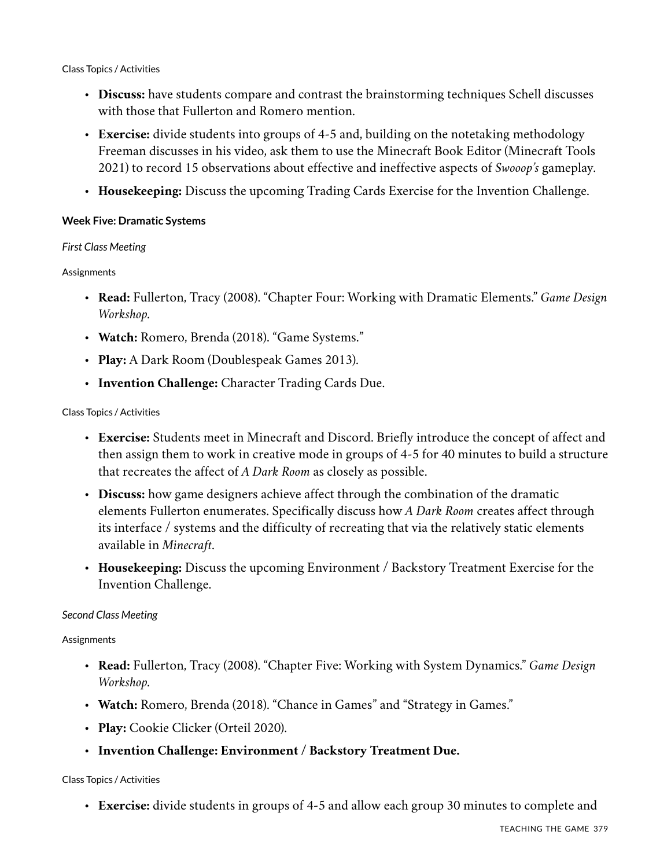#### Class Topics / Activities

- **Discuss:** have students compare and contrast the brainstorming techniques Schell discusses with those that Fullerton and Romero mention.
- **Exercise:** divide students into groups of 4-5 and, building on the notetaking methodology Freeman discusses in his video, ask them to use the Minecraft Book Editor (Minecraft Tools 2021) to record 15 observations about effective and ineffective aspects of *Swooop's* gameplay.
- **Housekeeping:** Discuss the upcoming Trading Cards Exercise for the Invention Challenge.

#### **Week Five: Dramatic Systems**

#### *First Class Meeting*

#### Assignments

- **Read:** Fullerton, Tracy (2008). "Chapter Four: Working with Dramatic Elements." *Game Design Workshop.*
- **Watch:** Romero, Brenda (2018). "Game Systems."
- **Play:** A Dark Room (Doublespeak Games 2013).
- **Invention Challenge:** Character Trading Cards Due.

#### Class Topics / Activities

- **Exercise:** Students meet in Minecraft and Discord. Briefly introduce the concept of affect and then assign them to work in creative mode in groups of 4-5 for 40 minutes to build a structure that recreates the affect of *A Dark Room* as closely as possible.
- **Discuss:** how game designers achieve affect through the combination of the dramatic elements Fullerton enumerates. Specifically discuss how *A Dark Room* creates affect through its interface / systems and the difficulty of recreating that via the relatively static elements available in *Minecraft*.
- **Housekeeping:** Discuss the upcoming Environment / Backstory Treatment Exercise for the Invention Challenge.

## *Second Class Meeting*

**Assignments** 

- **Read:** Fullerton, Tracy (2008). "Chapter Five: Working with System Dynamics." *Game Design Workshop.*
- **Watch:** Romero, Brenda (2018). "Chance in Games" and "Strategy in Games."
- **Play:** Cookie Clicker (Orteil 2020).
- **Invention Challenge: Environment / Backstory Treatment Due.**

#### Class Topics / Activities

• **Exercise:** divide students in groups of 4-5 and allow each group 30 minutes to complete and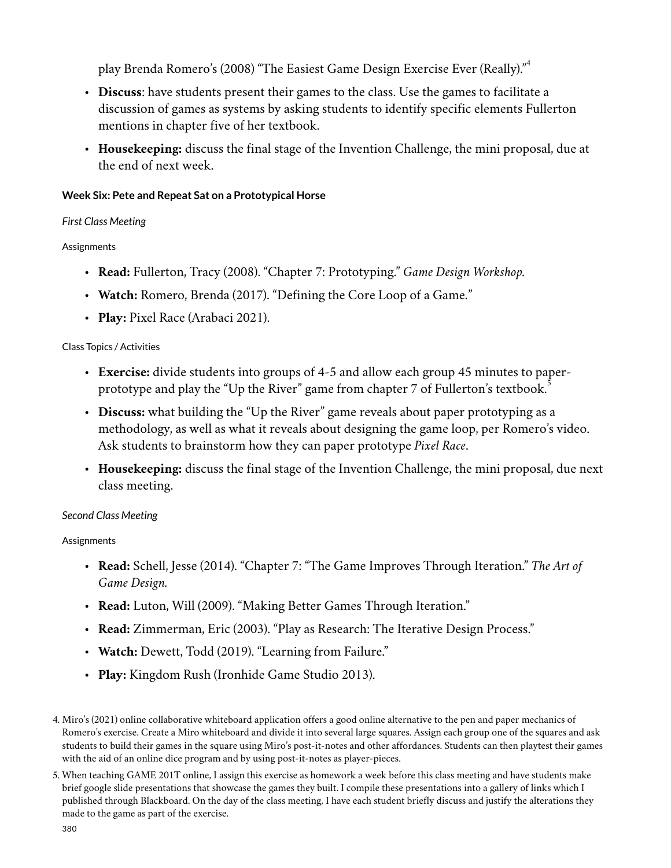play Brenda Romero's (2008) "The Easiest Game Design Exercise Ever (Really)." 4

- **Discuss**: have students present their games to the class. Use the games to facilitate a discussion of games as systems by asking students to identify specific elements Fullerton mentions in chapter five of her textbook.
- **Housekeeping:** discuss the final stage of the Invention Challenge, the mini proposal, due at the end of next week.

## **Week Six: Pete and Repeat Sat on a Prototypical Horse**

## *First Class Meeting*

## **Assignments**

- **Read:** Fullerton, Tracy (2008). "Chapter 7: Prototyping." *Game Design Workshop.*
- **Watch:** Romero, Brenda (2017). "Defining the Core Loop of a Game."
- **Play:** Pixel Race (Arabaci 2021).

## Class Topics / Activities

- **Exercise:** divide students into groups of 4-5 and allow each group 45 minutes to paperprototype and play the "Up the River" game from chapter 7 of Fullerton's textbook.<sup>5</sup>
- **Discuss:** what building the "Up the River" game reveals about paper prototyping as a methodology, as well as what it reveals about designing the game loop, per Romero's video. Ask students to brainstorm how they can paper prototype *Pixel Race*.
- **Housekeeping:** discuss the final stage of the Invention Challenge, the mini proposal, due next class meeting.

## *Second Class Meeting*

## Assignments

- **Read:** Schell, Jesse (2014). "Chapter 7: "The Game Improves Through Iteration." *The Art of Game Design.*
- **Read:** Luton, Will (2009). "Making Better Games Through Iteration."
- **Read:** Zimmerman, Eric (2003). "Play as Research: The Iterative Design Process."
- **Watch:** Dewett, Todd (2019). "Learning from Failure."
- **Play:** Kingdom Rush (Ironhide Game Studio 2013).

<sup>4.</sup> Miro's (2021) online collaborative whiteboard application offers a good online alternative to the pen and paper mechanics of Romero's exercise. Create a Miro whiteboard and divide it into several large squares. Assign each group one of the squares and ask students to build their games in the square using Miro's post-it-notes and other affordances. Students can then playtest their games with the aid of an online dice program and by using post-it-notes as player-pieces.

<sup>5.</sup> When teaching GAME 201T online, I assign this exercise as homework a week before this class meeting and have students make brief google slide presentations that showcase the games they built. I compile these presentations into a gallery of links which I published through Blackboard. On the day of the class meeting, I have each student briefly discuss and justify the alterations they made to the game as part of the exercise.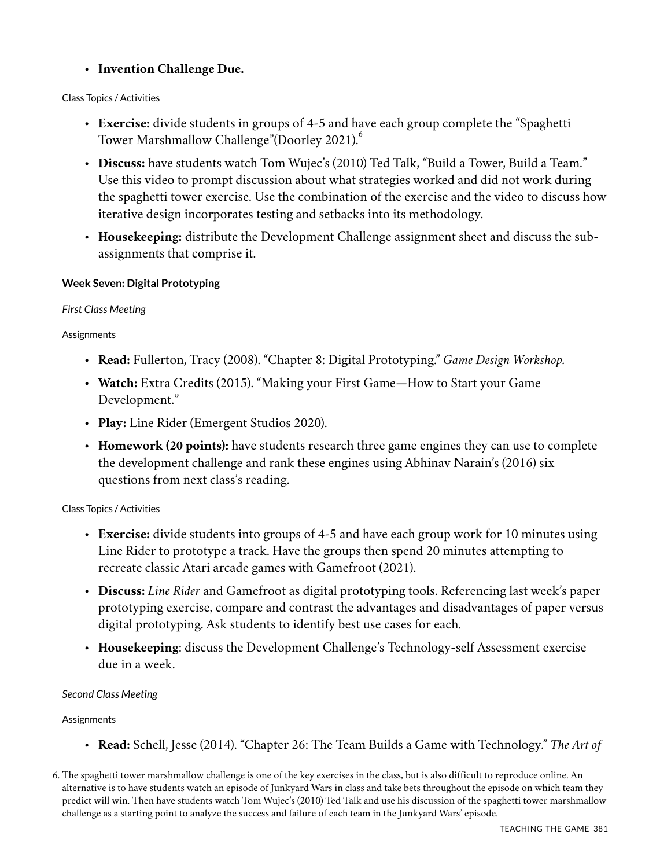## • **Invention Challenge Due.**

#### Class Topics / Activities

- **Exercise:** divide students in groups of 4-5 and have each group complete the "Spaghetti Tower Marshmallow Challenge"(Doorley 2021).<sup>6</sup>
- **Discuss:** have students watch Tom Wujec's (2010) Ted Talk, "Build a Tower, Build a Team." Use this video to prompt discussion about what strategies worked and did not work during the spaghetti tower exercise. Use the combination of the exercise and the video to discuss how iterative design incorporates testing and setbacks into its methodology.
- **Housekeeping:** distribute the Development Challenge assignment sheet and discuss the subassignments that comprise it.

#### **Week Seven: Digital Prototyping**

#### *First Class Meeting*

#### **Assignments**

- **Read:** Fullerton, Tracy (2008). "Chapter 8: Digital Prototyping." *Game Design Workshop.*
- **Watch:** Extra Credits (2015). "Making your First Game—How to Start your Game Development."
- **Play:** Line Rider (Emergent Studios 2020).
- **Homework (20 points):** have students research three game engines they can use to complete the development challenge and rank these engines using Abhinav Narain's (2016) six questions from next class's reading.

#### Class Topics / Activities

- **Exercise:** divide students into groups of 4-5 and have each group work for 10 minutes using Line Rider to prototype a track. Have the groups then spend 20 minutes attempting to recreate classic Atari arcade games with Gamefroot (2021).
- **Discuss:** *Line Rider* and Gamefroot as digital prototyping tools. Referencing last week's paper prototyping exercise, compare and contrast the advantages and disadvantages of paper versus digital prototyping. Ask students to identify best use cases for each.
- **Housekeeping**: discuss the Development Challenge's Technology-self Assessment exercise due in a week.

#### *Second Class Meeting*

#### **Assignments**

• **Read:** Schell, Jesse (2014). "Chapter 26: The Team Builds a Game with Technology." *The Art of*

<sup>6.</sup> The spaghetti tower marshmallow challenge is one of the key exercises in the class, but is also difficult to reproduce online. An alternative is to have students watch an episode of Junkyard Wars in class and take bets throughout the episode on which team they predict will win. Then have students watch Tom Wujec's (2010) Ted Talk and use his discussion of the spaghetti tower marshmallow challenge as a starting point to analyze the success and failure of each team in the Junkyard Wars' episode.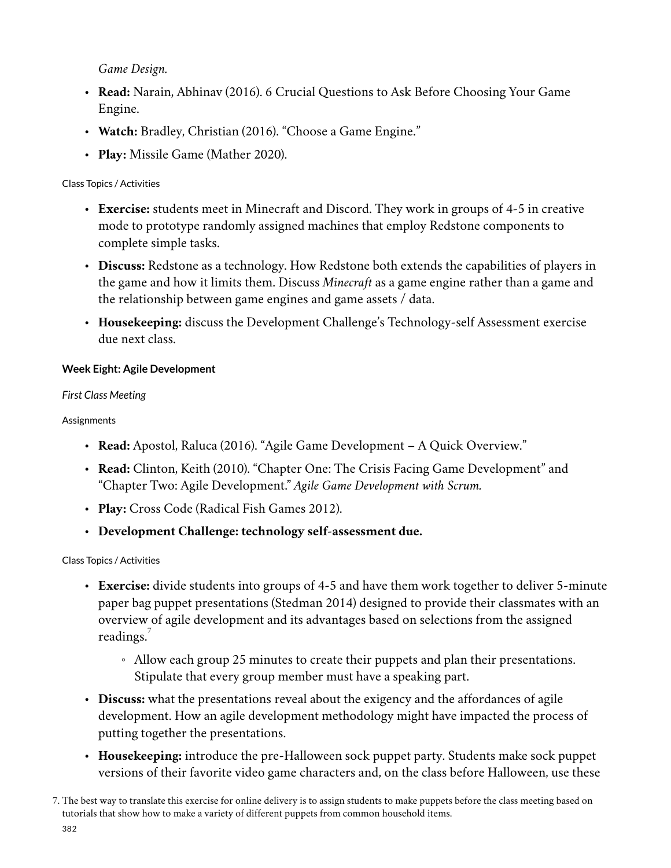*Game Design.*

- **Read:** Narain, Abhinav (2016). 6 Crucial Questions to Ask Before Choosing Your Game Engine.
- **Watch:** Bradley, Christian (2016). "Choose a Game Engine."
- **Play:** Missile Game (Mather 2020).

## Class Topics / Activities

- **Exercise:** students meet in Minecraft and Discord. They work in groups of 4-5 in creative mode to prototype randomly assigned machines that employ Redstone components to complete simple tasks.
- **Discuss:** Redstone as a technology. How Redstone both extends the capabilities of players in the game and how it limits them. Discuss *Minecraft* as a game engine rather than a game and the relationship between game engines and game assets / data.
- **Housekeeping:** discuss the Development Challenge's Technology-self Assessment exercise due next class.

## **Week Eight: Agile Development**

#### *First Class Meeting*

Assignments

- **Read:** Apostol, Raluca (2016). "Agile Game Development A Quick Overview."
- **Read:** Clinton, Keith (2010). "Chapter One: The Crisis Facing Game Development" and "Chapter Two: Agile Development." *Agile Game Development with Scrum.*
- **Play:** Cross Code (Radical Fish Games 2012).
- **Development Challenge: technology self-assessment due.**

- **Exercise:** divide students into groups of 4-5 and have them work together to deliver 5-minute paper bag puppet presentations (Stedman 2014) designed to provide their classmates with an overview of agile development and its advantages based on selections from the assigned readings.
	- Allow each group 25 minutes to create their puppets and plan their presentations. Stipulate that every group member must have a speaking part.
- **Discuss:** what the presentations reveal about the exigency and the affordances of agile development. How an agile development methodology might have impacted the process of putting together the presentations.
- **Housekeeping:** introduce the pre-Halloween sock puppet party. Students make sock puppet versions of their favorite video game characters and, on the class before Halloween, use these
- 7. The best way to translate this exercise for online delivery is to assign students to make puppets before the class meeting based on tutorials that show how to make a variety of different puppets from common household items.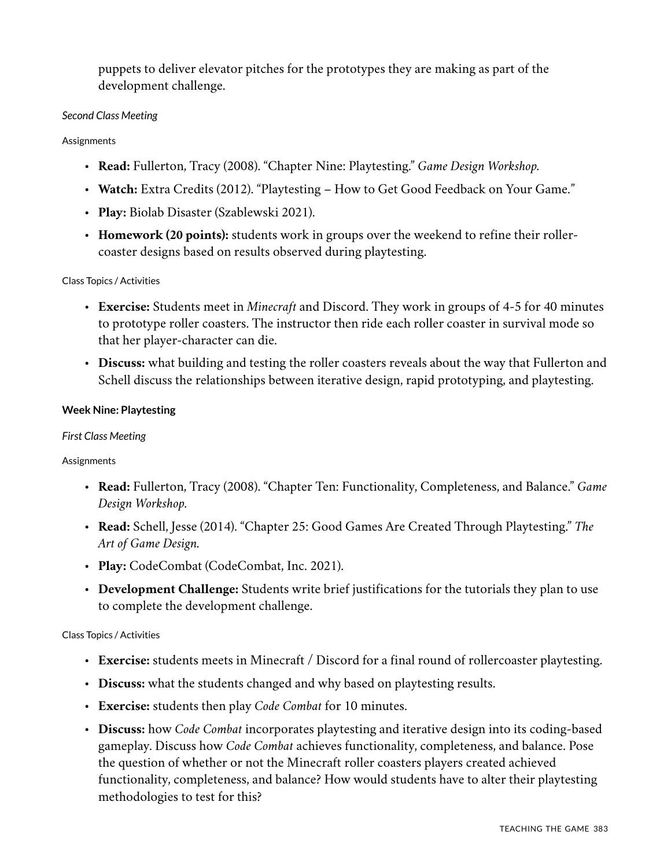puppets to deliver elevator pitches for the prototypes they are making as part of the development challenge.

#### *Second Class Meeting*

#### **Assignments**

- **Read:** Fullerton, Tracy (2008). "Chapter Nine: Playtesting." *Game Design Workshop.*
- **Watch:** Extra Credits (2012). "Playtesting How to Get Good Feedback on Your Game."
- **Play:** Biolab Disaster (Szablewski 2021).
- **Homework (20 points):** students work in groups over the weekend to refine their rollercoaster designs based on results observed during playtesting.

#### Class Topics / Activities

- **Exercise:** Students meet in *Minecraft* and Discord. They work in groups of 4-5 for 40 minutes to prototype roller coasters. The instructor then ride each roller coaster in survival mode so that her player-character can die.
- **Discuss:** what building and testing the roller coasters reveals about the way that Fullerton and Schell discuss the relationships between iterative design, rapid prototyping, and playtesting.

#### **Week Nine: Playtesting**

#### *First Class Meeting*

#### **Assignments**

- **Read:** Fullerton, Tracy (2008). "Chapter Ten: Functionality, Completeness, and Balance." *Game Design Workshop.*
- **Read:** Schell, Jesse (2014). "Chapter 25: Good Games Are Created Through Playtesting." *The Art of Game Design.*
- **Play:** CodeCombat (CodeCombat, Inc. 2021).
- **Development Challenge:** Students write brief justifications for the tutorials they plan to use to complete the development challenge.

- **Exercise:** students meets in Minecraft / Discord for a final round of rollercoaster playtesting.
- **Discuss:** what the students changed and why based on playtesting results.
- **Exercise:** students then play *Code Combat* for 10 minutes.
- **Discuss:** how *Code Combat* incorporates playtesting and iterative design into its coding-based gameplay. Discuss how *Code Combat* achieves functionality, completeness, and balance. Pose the question of whether or not the Minecraft roller coasters players created achieved functionality, completeness, and balance? How would students have to alter their playtesting methodologies to test for this?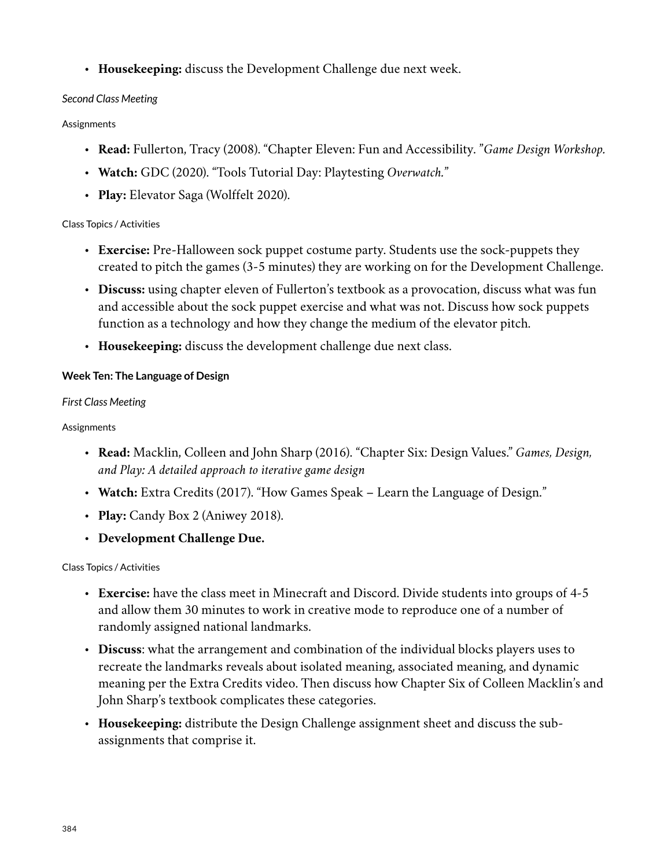• **Housekeeping:** discuss the Development Challenge due next week.

## *Second Class Meeting*

## **Assignments**

- **Read:** Fullerton, Tracy (2008). "Chapter Eleven: Fun and Accessibility. "*Game Design Workshop.*
- **Watch:** GDC (2020). "Tools Tutorial Day: Playtesting *Overwatch.*"
- **Play:** Elevator Saga (Wolffelt 2020).

## Class Topics / Activities

- **Exercise:** Pre-Halloween sock puppet costume party. Students use the sock-puppets they created to pitch the games (3-5 minutes) they are working on for the Development Challenge.
- **Discuss:** using chapter eleven of Fullerton's textbook as a provocation, discuss what was fun and accessible about the sock puppet exercise and what was not. Discuss how sock puppets function as a technology and how they change the medium of the elevator pitch.
- **Housekeeping:** discuss the development challenge due next class.

## **Week Ten: The Language of Design**

## *First Class Meeting*

## Assignments

- **Read:** Macklin, Colleen and John Sharp (2016). "Chapter Six: Design Values." *Games, Design, and Play: A detailed approach to iterative game design*
- **Watch:** Extra Credits (2017). "How Games Speak Learn the Language of Design."
- **Play:** Candy Box 2 (Aniwey 2018).
- **Development Challenge Due.**

- **Exercise:** have the class meet in Minecraft and Discord. Divide students into groups of 4-5 and allow them 30 minutes to work in creative mode to reproduce one of a number of randomly assigned national landmarks.
- **Discuss**: what the arrangement and combination of the individual blocks players uses to recreate the landmarks reveals about isolated meaning, associated meaning, and dynamic meaning per the Extra Credits video. Then discuss how Chapter Six of Colleen Macklin's and John Sharp's textbook complicates these categories.
- **Housekeeping:** distribute the Design Challenge assignment sheet and discuss the subassignments that comprise it.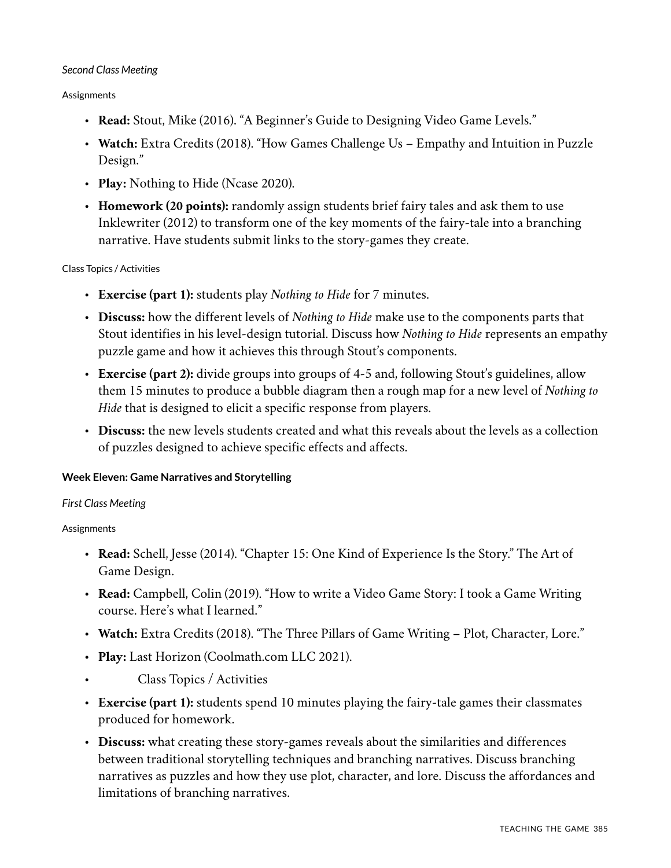#### *Second Class Meeting*

#### Assignments

- **Read:** Stout, Mike (2016). "A Beginner's Guide to Designing Video Game Levels."
- **Watch:** Extra Credits (2018). "How Games Challenge Us Empathy and Intuition in Puzzle Design."
- **Play:** Nothing to Hide (Ncase 2020).
- **Homework (20 points):** randomly assign students brief fairy tales and ask them to use Inklewriter (2012) to transform one of the key moments of the fairy-tale into a branching narrative. Have students submit links to the story-games they create.

#### Class Topics / Activities

- **Exercise (part 1):** students play *Nothing to Hide* for 7 minutes.
- **Discuss:** how the different levels of *Nothing to Hide* make use to the components parts that Stout identifies in his level-design tutorial. Discuss how *Nothing to Hide* represents an empathy puzzle game and how it achieves this through Stout's components.
- **Exercise (part 2):** divide groups into groups of 4-5 and, following Stout's guidelines, allow them 15 minutes to produce a bubble diagram then a rough map for a new level of *Nothing to Hide* that is designed to elicit a specific response from players.
- **Discuss:** the new levels students created and what this reveals about the levels as a collection of puzzles designed to achieve specific effects and affects.

#### **Week Eleven: Game Narratives and Storytelling**

#### *First Class Meeting*

#### Assignments

- **Read:** Schell, Jesse (2014). "Chapter 15: One Kind of Experience Is the Story." The Art of Game Design.
- **Read:** Campbell, Colin (2019). "How to write a Video Game Story: I took a Game Writing course. Here's what I learned."
- **Watch:** Extra Credits (2018). "The Three Pillars of Game Writing Plot, Character, Lore."
- **Play:** Last Horizon (Coolmath.com LLC 2021).
- Class Topics / Activities
- **Exercise (part 1):** students spend 10 minutes playing the fairy-tale games their classmates produced for homework.
- **Discuss:** what creating these story-games reveals about the similarities and differences between traditional storytelling techniques and branching narratives. Discuss branching narratives as puzzles and how they use plot, character, and lore. Discuss the affordances and limitations of branching narratives.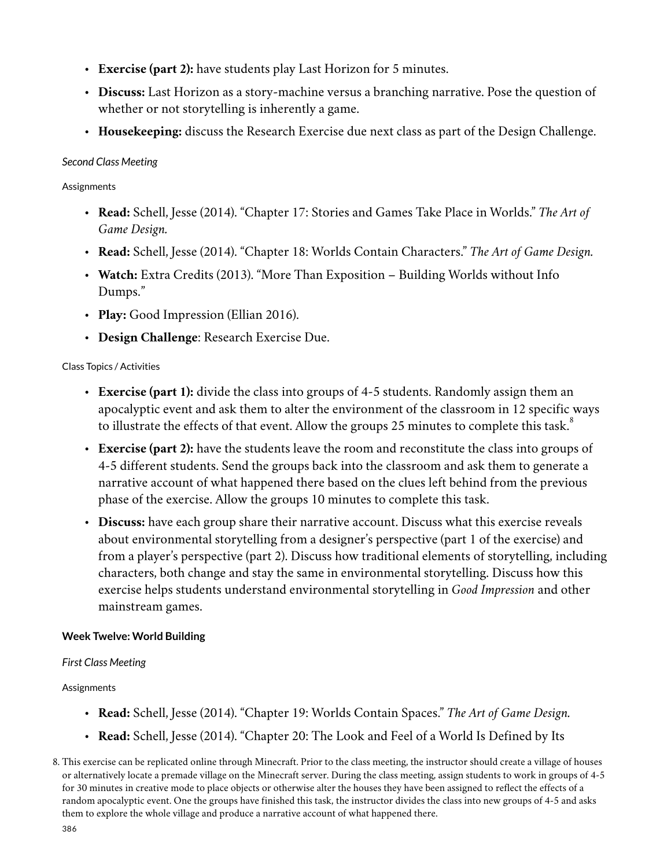- **Exercise (part 2):** have students play Last Horizon for 5 minutes.
- **Discuss:** Last Horizon as a story-machine versus a branching narrative. Pose the question of whether or not storytelling is inherently a game.
- **Housekeeping:** discuss the Research Exercise due next class as part of the Design Challenge.

#### *Second Class Meeting*

**Assignments** 

- **Read:** Schell, Jesse (2014). "Chapter 17: Stories and Games Take Place in Worlds." *The Art of Game Design.*
- **Read:** Schell, Jesse (2014). "Chapter 18: Worlds Contain Characters." *The Art of Game Design.*
- **Watch:** Extra Credits (2013). "More Than Exposition Building Worlds without Info Dumps."
- **Play:** Good Impression (Ellian 2016).
- **Design Challenge**: Research Exercise Due.

#### Class Topics / Activities

- **Exercise (part 1):** divide the class into groups of 4-5 students. Randomly assign them an apocalyptic event and ask them to alter the environment of the classroom in 12 specific ways to illustrate the effects of that event. Allow the groups 25 minutes to complete this task.<sup>8</sup>
- **Exercise (part 2):** have the students leave the room and reconstitute the class into groups of 4-5 different students. Send the groups back into the classroom and ask them to generate a narrative account of what happened there based on the clues left behind from the previous phase of the exercise. Allow the groups 10 minutes to complete this task.
- **Discuss:** have each group share their narrative account. Discuss what this exercise reveals about environmental storytelling from a designer's perspective (part 1 of the exercise) and from a player's perspective (part 2). Discuss how traditional elements of storytelling, including characters, both change and stay the same in environmental storytelling. Discuss how this exercise helps students understand environmental storytelling in *Good Impression* and other mainstream games.

#### **Week Twelve: World Building**

#### *First Class Meeting*

#### Assignments

- **Read:** Schell, Jesse (2014). "Chapter 19: Worlds Contain Spaces." *The Art of Game Design.*
- **Read:** Schell, Jesse (2014). "Chapter 20: The Look and Feel of a World Is Defined by Its

<sup>8.</sup> This exercise can be replicated online through Minecraft. Prior to the class meeting, the instructor should create a village of houses or alternatively locate a premade village on the Minecraft server. During the class meeting, assign students to work in groups of 4-5 for 30 minutes in creative mode to place objects or otherwise alter the houses they have been assigned to reflect the effects of a random apocalyptic event. One the groups have finished this task, the instructor divides the class into new groups of 4-5 and asks them to explore the whole village and produce a narrative account of what happened there.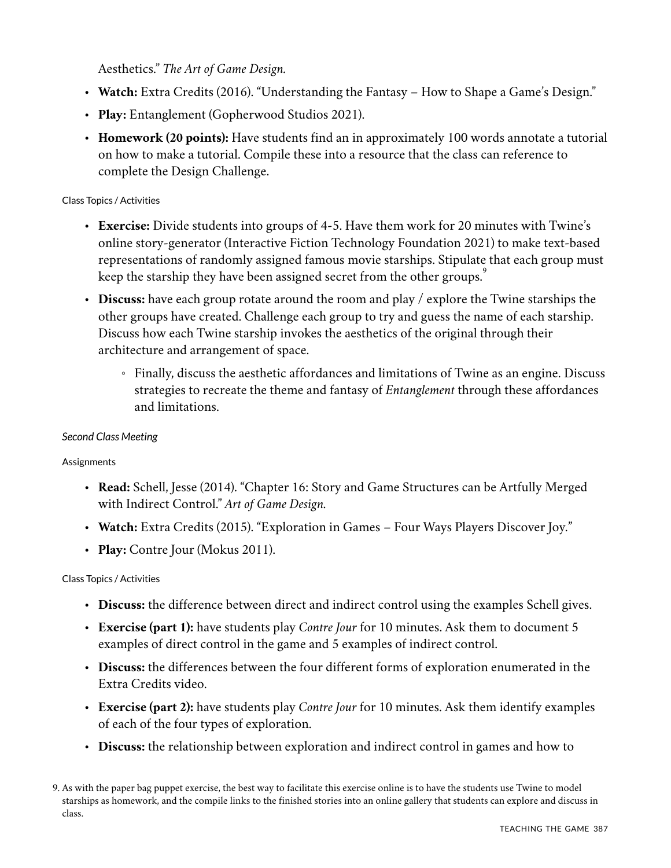Aesthetics." *The Art of Game Design.*

- **Watch:** Extra Credits (2016). "Understanding the Fantasy How to Shape a Game's Design."
- **Play:** Entanglement (Gopherwood Studios 2021).
- **Homework (20 points):** Have students find an in approximately 100 words annotate a tutorial on how to make a tutorial. Compile these into a resource that the class can reference to complete the Design Challenge.

#### Class Topics / Activities

- **Exercise:** Divide students into groups of 4-5. Have them work for 20 minutes with Twine's online story-generator (Interactive Fiction Technology Foundation 2021) to make text-based representations of randomly assigned famous movie starships. Stipulate that each group must keep the starship they have been assigned secret from the other groups.  $\degree$
- **Discuss:** have each group rotate around the room and play / explore the Twine starships the other groups have created. Challenge each group to try and guess the name of each starship. Discuss how each Twine starship invokes the aesthetics of the original through their architecture and arrangement of space.
	- Finally, discuss the aesthetic affordances and limitations of Twine as an engine. Discuss strategies to recreate the theme and fantasy of *Entanglement* through these affordances and limitations.

#### *Second Class Meeting*

#### Assignments

- **Read:** Schell, Jesse (2014). "Chapter 16: Story and Game Structures can be Artfully Merged with Indirect Control." *Art of Game Design.*
- **Watch:** Extra Credits (2015). "Exploration in Games Four Ways Players Discover Joy."
- **Play:** Contre Jour (Mokus 2011).

- **Discuss:** the difference between direct and indirect control using the examples Schell gives.
- **Exercise (part 1):** have students play *Contre Jour* for 10 minutes. Ask them to document 5 examples of direct control in the game and 5 examples of indirect control.
- **Discuss:** the differences between the four different forms of exploration enumerated in the Extra Credits video.
- **Exercise (part 2):** have students play *Contre Jour* for 10 minutes. Ask them identify examples of each of the four types of exploration.
- **Discuss:** the relationship between exploration and indirect control in games and how to

<sup>9.</sup> As with the paper bag puppet exercise, the best way to facilitate this exercise online is to have the students use Twine to model starships as homework, and the compile links to the finished stories into an online gallery that students can explore and discuss in class.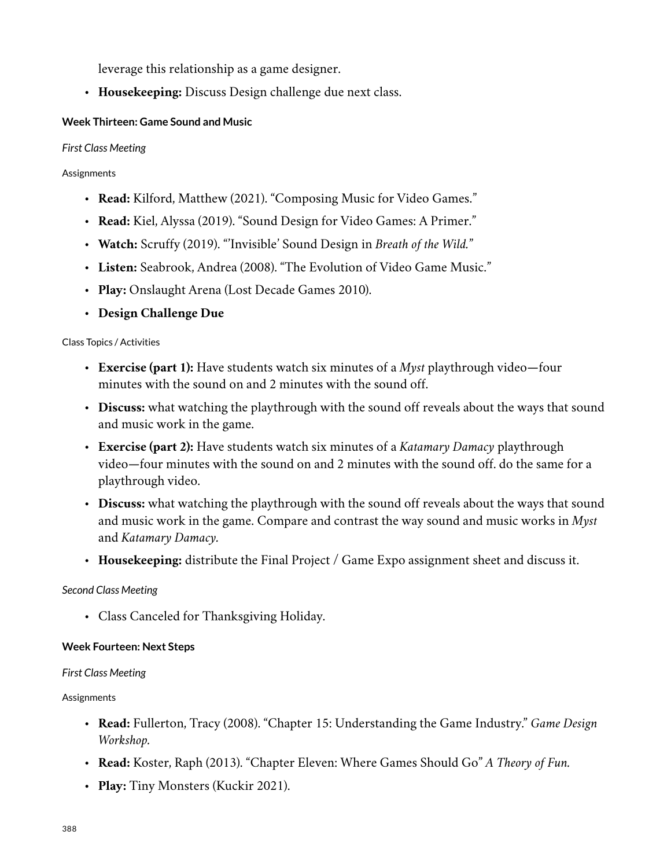leverage this relationship as a game designer.

• **Housekeeping:** Discuss Design challenge due next class.

## **Week Thirteen: Game Sound and Music**

## *First Class Meeting*

## **Assignments**

- **Read:** Kilford, Matthew (2021). "Composing Music for Video Games."
- **Read:** Kiel, Alyssa (2019). "Sound Design for Video Games: A Primer."
- **Watch:** Scruffy (2019). "'Invisible' Sound Design in *Breath of the Wild.*"
- **Listen:** Seabrook, Andrea (2008). "The Evolution of Video Game Music."
- **Play:** Onslaught Arena (Lost Decade Games 2010).
- **Design Challenge Due**

## Class Topics / Activities

- **Exercise (part 1):** Have students watch six minutes of a *Myst* playthrough video—four minutes with the sound on and 2 minutes with the sound off.
- **Discuss:** what watching the playthrough with the sound off reveals about the ways that sound and music work in the game.
- **Exercise (part 2):** Have students watch six minutes of a *Katamary Damacy* playthrough video—four minutes with the sound on and 2 minutes with the sound off. do the same for a playthrough video.
- **Discuss:** what watching the playthrough with the sound off reveals about the ways that sound and music work in the game. Compare and contrast the way sound and music works in *Myst* and *Katamary Damacy.*
- **Housekeeping:** distribute the Final Project / Game Expo assignment sheet and discuss it.

## *Second Class Meeting*

• Class Canceled for Thanksgiving Holiday.

## **Week Fourteen: Next Steps**

## *First Class Meeting*

## **Assignments**

- **Read:** Fullerton, Tracy (2008). "Chapter 15: Understanding the Game Industry." *Game Design Workshop.*
- **Read:** Koster, Raph (2013). "Chapter Eleven: Where Games Should Go" *A Theory of Fun.*
- **Play:** Tiny Monsters (Kuckir 2021).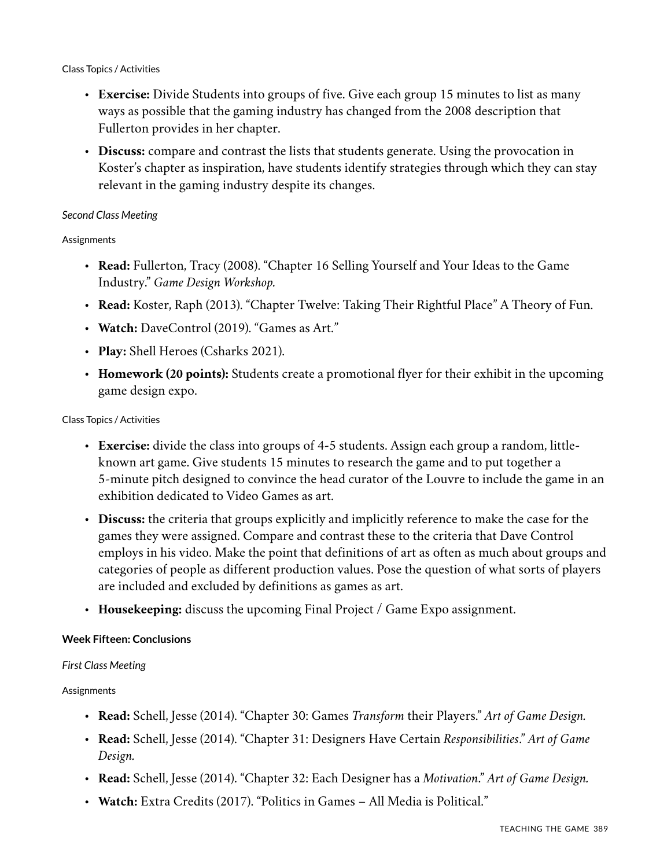#### Class Topics / Activities

- **Exercise:** Divide Students into groups of five. Give each group 15 minutes to list as many ways as possible that the gaming industry has changed from the 2008 description that Fullerton provides in her chapter.
- **Discuss:** compare and contrast the lists that students generate. Using the provocation in Koster's chapter as inspiration, have students identify strategies through which they can stay relevant in the gaming industry despite its changes.

#### *Second Class Meeting*

#### **Assignments**

- **Read:** Fullerton, Tracy (2008). "Chapter 16 Selling Yourself and Your Ideas to the Game Industry." *Game Design Workshop.*
- **Read:** Koster, Raph (2013). "Chapter Twelve: Taking Their Rightful Place" A Theory of Fun.
- **Watch:** DaveControl (2019). "Games as Art."
- **Play:** Shell Heroes (Csharks 2021).
- **Homework (20 points):** Students create a promotional flyer for their exhibit in the upcoming game design expo.

#### Class Topics / Activities

- **Exercise:** divide the class into groups of 4-5 students. Assign each group a random, littleknown art game. Give students 15 minutes to research the game and to put together a 5-minute pitch designed to convince the head curator of the Louvre to include the game in an exhibition dedicated to Video Games as art.
- **Discuss:** the criteria that groups explicitly and implicitly reference to make the case for the games they were assigned. Compare and contrast these to the criteria that Dave Control employs in his video. Make the point that definitions of art as often as much about groups and categories of people as different production values. Pose the question of what sorts of players are included and excluded by definitions as games as art.
- **Housekeeping:** discuss the upcoming Final Project / Game Expo assignment.

#### **Week Fifteen: Conclusions**

#### *First Class Meeting*

#### Assignments

- **Read:** Schell, Jesse (2014). "Chapter 30: Games *Transform* their Players." *Art of Game Design.*
- **Read:** Schell, Jesse (2014). "Chapter 31: Designers Have Certain *Responsibilities*." *Art of Game Design.*
- **Read:** Schell, Jesse (2014). "Chapter 32: Each Designer has a *Motivation*." *Art of Game Design.*
- **Watch:** Extra Credits (2017). "Politics in Games All Media is Political."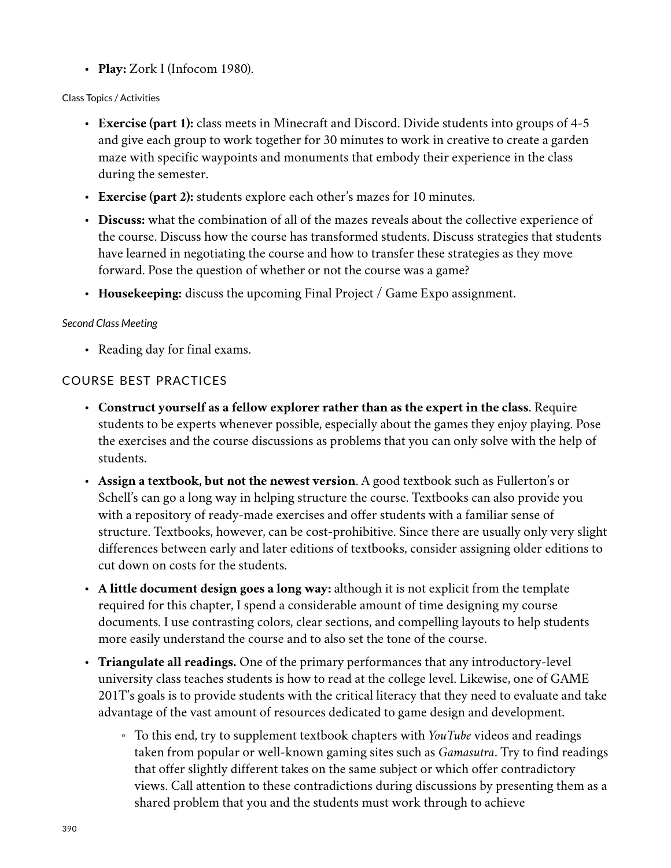• **Play:** Zork I (Infocom 1980).

## Class Topics / Activities

- **Exercise (part 1):** class meets in Minecraft and Discord. Divide students into groups of 4-5 and give each group to work together for 30 minutes to work in creative to create a garden maze with specific waypoints and monuments that embody their experience in the class during the semester.
- **Exercise (part 2):** students explore each other's mazes for 10 minutes.
- **Discuss:** what the combination of all of the mazes reveals about the collective experience of the course. Discuss how the course has transformed students. Discuss strategies that students have learned in negotiating the course and how to transfer these strategies as they move forward. Pose the question of whether or not the course was a game?
- **Housekeeping:** discuss the upcoming Final Project / Game Expo assignment.

## *Second Class Meeting*

• Reading day for final exams.

## COURSE BEST PRACTICES

- **Construct yourself as a fellow explorer rather than as the expert in the class**. Require students to be experts whenever possible, especially about the games they enjoy playing. Pose the exercises and the course discussions as problems that you can only solve with the help of students.
- **Assign a textbook, but not the newest version**. A good textbook such as Fullerton's or Schell's can go a long way in helping structure the course. Textbooks can also provide you with a repository of ready-made exercises and offer students with a familiar sense of structure. Textbooks, however, can be cost-prohibitive. Since there are usually only very slight differences between early and later editions of textbooks, consider assigning older editions to cut down on costs for the students.
- **A little document design goes a long way:** although it is not explicit from the template required for this chapter, I spend a considerable amount of time designing my course documents. I use contrasting colors, clear sections, and compelling layouts to help students more easily understand the course and to also set the tone of the course.
- **Triangulate all readings.** One of the primary performances that any introductory-level university class teaches students is how to read at the college level. Likewise, one of GAME 201T's goals is to provide students with the critical literacy that they need to evaluate and take advantage of the vast amount of resources dedicated to game design and development.
	- To this end, try to supplement textbook chapters with *YouTube* videos and readings taken from popular or well-known gaming sites such as *Gamasutra*. Try to find readings that offer slightly different takes on the same subject or which offer contradictory views. Call attention to these contradictions during discussions by presenting them as a shared problem that you and the students must work through to achieve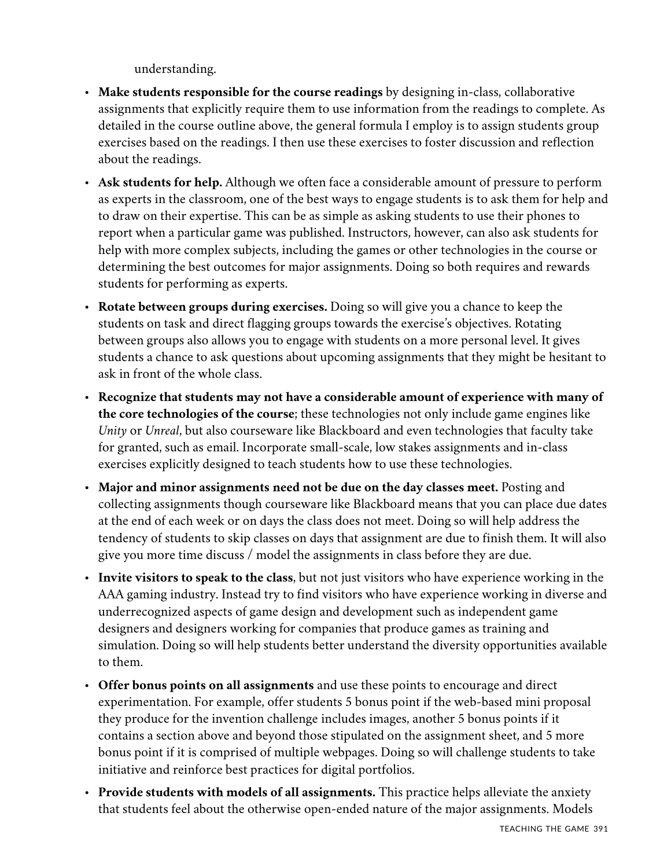understanding.

- **Make students responsible for the course readings** by designing in-class, collaborative assignments that explicitly require them to use information from the readings to complete. As detailed in the course outline above, the general formula I employ is to assign students group exercises based on the readings. I then use these exercises to foster discussion and reflection about the readings.
- **Ask students for help.** Although we often face a considerable amount of pressure to perform as experts in the classroom, one of the best ways to engage students is to ask them for help and to draw on their expertise. This can be as simple as asking students to use their phones to report when a particular game was published. Instructors, however, can also ask students for help with more complex subjects, including the games or other technologies in the course or determining the best outcomes for major assignments. Doing so both requires and rewards students for performing as experts.
- **Rotate between groups during exercises.** Doing so will give you a chance to keep the students on task and direct flagging groups towards the exercise's objectives. Rotating between groups also allows you to engage with students on a more personal level. It gives students a chance to ask questions about upcoming assignments that they might be hesitant to ask in front of the whole class.
- **Recognize that students may not have a considerable amount of experience with many of the core technologies of the course**; these technologies not only include game engines like *Unity* or *Unreal*, but also courseware like Blackboard and even technologies that faculty take for granted, such as email. Incorporate small-scale, low stakes assignments and in-class exercises explicitly designed to teach students how to use these technologies.
- **Major and minor assignments need not be due on the day classes meet.** Posting and collecting assignments though courseware like Blackboard means that you can place due dates at the end of each week or on days the class does not meet. Doing so will help address the tendency of students to skip classes on days that assignment are due to finish them. It will also give you more time discuss / model the assignments in class before they are due.
- **Invite visitors to speak to the class**, but not just visitors who have experience working in the AAA gaming industry. Instead try to find visitors who have experience working in diverse and underrecognized aspects of game design and development such as independent game designers and designers working for companies that produce games as training and simulation. Doing so will help students better understand the diversity opportunities available to them.
- **Offer bonus points on all assignments** and use these points to encourage and direct experimentation. For example, offer students 5 bonus point if the web-based mini proposal they produce for the invention challenge includes images, another 5 bonus points if it contains a section above and beyond those stipulated on the assignment sheet, and 5 more bonus point if it is comprised of multiple webpages. Doing so will challenge students to take initiative and reinforce best practices for digital portfolios.
- **Provide students with models of all assignments.** This practice helps alleviate the anxiety that students feel about the otherwise open-ended nature of the major assignments. Models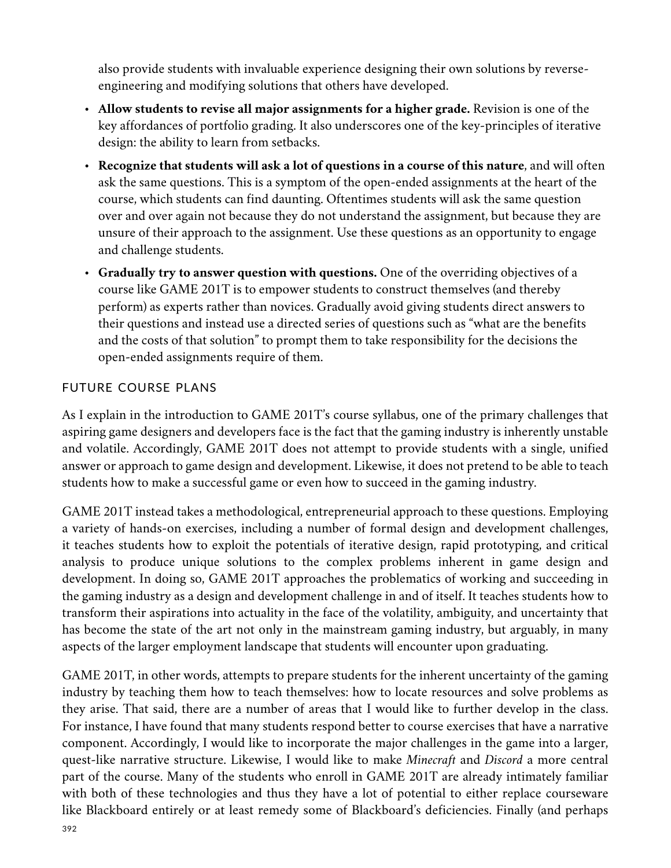also provide students with invaluable experience designing their own solutions by reverseengineering and modifying solutions that others have developed.

- **Allow students to revise all major assignments for a higher grade.** Revision is one of the key affordances of portfolio grading. It also underscores one of the key-principles of iterative design: the ability to learn from setbacks.
- **Recognize that students will ask a lot of questions in a course of this nature**, and will often ask the same questions. This is a symptom of the open-ended assignments at the heart of the course, which students can find daunting. Oftentimes students will ask the same question over and over again not because they do not understand the assignment, but because they are unsure of their approach to the assignment. Use these questions as an opportunity to engage and challenge students.
- **Gradually try to answer question with questions.** One of the overriding objectives of a course like GAME 201T is to empower students to construct themselves (and thereby perform) as experts rather than novices. Gradually avoid giving students direct answers to their questions and instead use a directed series of questions such as "what are the benefits and the costs of that solution" to prompt them to take responsibility for the decisions the open-ended assignments require of them.

## FUTURE COURSE PLANS

As I explain in the introduction to GAME 201T's course syllabus, one of the primary challenges that aspiring game designers and developers face is the fact that the gaming industry is inherently unstable and volatile. Accordingly, GAME 201T does not attempt to provide students with a single, unified answer or approach to game design and development. Likewise, it does not pretend to be able to teach students how to make a successful game or even how to succeed in the gaming industry.

GAME 201T instead takes a methodological, entrepreneurial approach to these questions. Employing a variety of hands-on exercises, including a number of formal design and development challenges, it teaches students how to exploit the potentials of iterative design, rapid prototyping, and critical analysis to produce unique solutions to the complex problems inherent in game design and development. In doing so, GAME 201T approaches the problematics of working and succeeding in the gaming industry as a design and development challenge in and of itself. It teaches students how to transform their aspirations into actuality in the face of the volatility, ambiguity, and uncertainty that has become the state of the art not only in the mainstream gaming industry, but arguably, in many aspects of the larger employment landscape that students will encounter upon graduating.

GAME 201T, in other words, attempts to prepare students for the inherent uncertainty of the gaming industry by teaching them how to teach themselves: how to locate resources and solve problems as they arise. That said, there are a number of areas that I would like to further develop in the class. For instance, I have found that many students respond better to course exercises that have a narrative component. Accordingly, I would like to incorporate the major challenges in the game into a larger, quest-like narrative structure. Likewise, I would like to make *Minecraft* and *Discord* a more central part of the course. Many of the students who enroll in GAME 201T are already intimately familiar with both of these technologies and thus they have a lot of potential to either replace courseware like Blackboard entirely or at least remedy some of Blackboard's deficiencies. Finally (and perhaps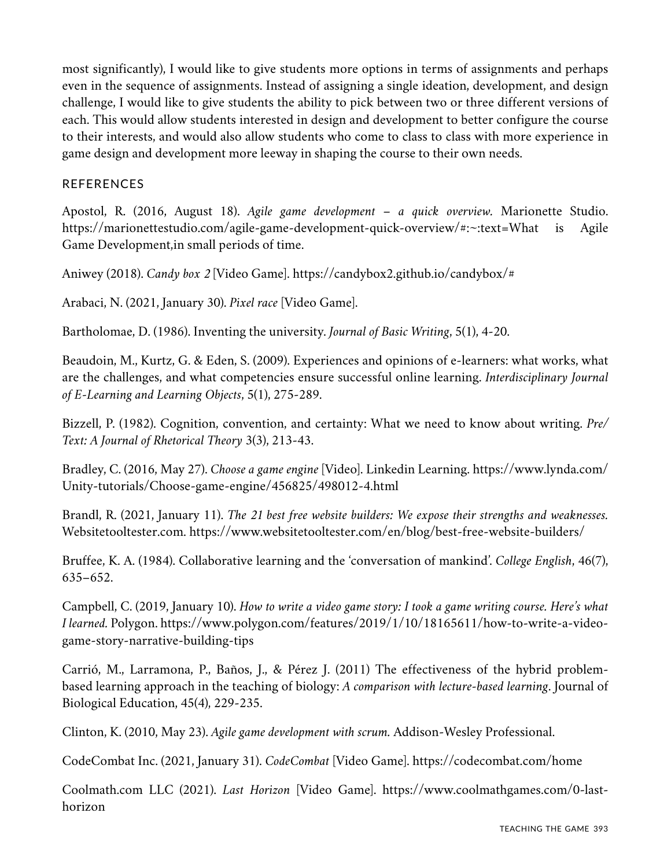most significantly), I would like to give students more options in terms of assignments and perhaps even in the sequence of assignments. Instead of assigning a single ideation, development, and design challenge, I would like to give students the ability to pick between two or three different versions of each. This would allow students interested in design and development to better configure the course to their interests, and would also allow students who come to class to class with more experience in game design and development more leeway in shaping the course to their own needs.

## REFERENCES

Apostol, R. (2016, August 18). *Agile game development – a quick overview.* Marionette Studio. https://marionettestudio.com/agile-game-development-quick-overview/#:~:text=What is Agile Game Development,in small periods of time.

Aniwey (2018). *Candy box 2* [Video Game]. https://candybox2.github.io/candybox/#

Arabaci, N. (2021, January 30). *Pixel race* [Video Game].

Bartholomae, D. (1986). Inventing the university. *Journal of Basic Writing*, 5(1), 4-20.

Beaudoin, M., Kurtz, G. & Eden, S. (2009). Experiences and opinions of e-learners: what works, what are the challenges, and what competencies ensure successful online learning. *Interdisciplinary Journal of E-Learning and Learning Objects*, 5(1), 275-289.

Bizzell, P. (1982). Cognition, convention, and certainty: What we need to know about writing. *Pre/ Text: A Journal of Rhetorical Theory* 3(3), 213-43.

Bradley, C. (2016, May 27). *Choose a game engine* [Video]. Linkedin Learning. https://www.lynda.com/ Unity-tutorials/Choose-game-engine/456825/498012-4.html

Brandl, R. (2021, January 11). *The 21 best free website builders: We expose their strengths and weaknesses.* Websitetooltester.com. https://www.websitetooltester.com/en/blog/best-free-website-builders/

Bruffee, K. A. (1984). Collaborative learning and the 'conversation of mankind'. *College English*, 46(7), 635–652.

Campbell, C. (2019, January 10). *How to write a video game story: I took a game writing course. Here's what I learned.* Polygon. https://www.polygon.com/features/2019/1/10/18165611/how-to-write-a-videogame-story-narrative-building-tips

Carrió, M., Larramona, P., Baños, J., & Pérez J. (2011) The effectiveness of the hybrid problembased learning approach in the teaching of biology: *A comparison with lecture-based learning*. Journal of Biological Education, 45(4), 229-235.

Clinton, K. (2010, May 23). *Agile game development with scrum.* Addison-Wesley Professional.

CodeCombat Inc. (2021, January 31). *CodeCombat* [Video Game]. https://codecombat.com/home

Coolmath.com LLC (2021). *Last Horizon* [Video Game]. https://www.coolmathgames.com/0-lasthorizon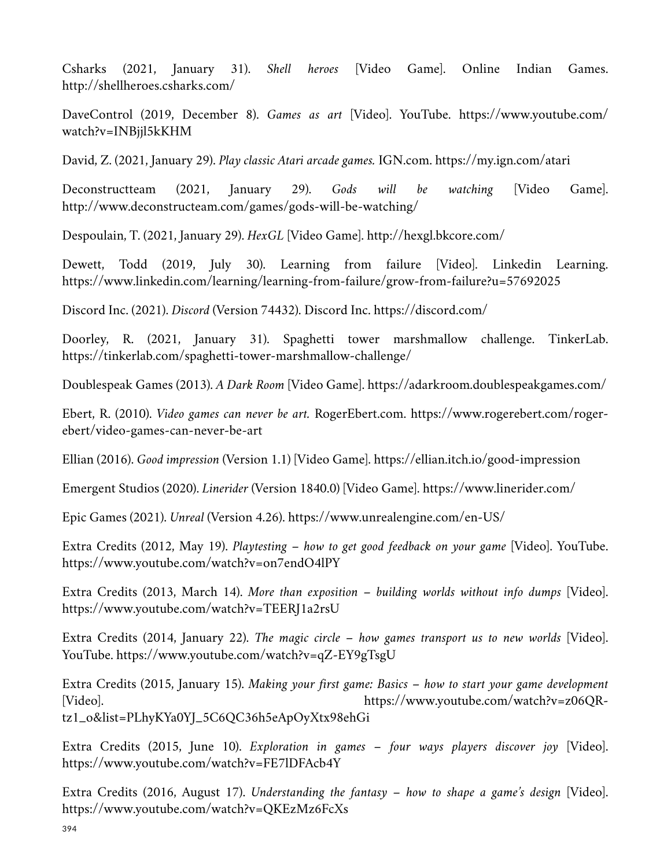Csharks (2021, January 31). *Shell heroes* [Video Game]. Online Indian Games. http://shellheroes.csharks.com/

DaveControl (2019, December 8). *Games as art* [Video]. YouTube. https://www.youtube.com/ watch?v=INBjjl5kKHM

David, Z. (2021, January 29). *Play classic Atari arcade games.* IGN.com. https://my.ign.com/atari

Deconstructteam (2021, January 29). *Gods will be watching* [Video Game]. http://www.deconstructeam.com/games/gods-will-be-watching/

Despoulain, T. (2021, January 29). *HexGL* [Video Game]. http://hexgl.bkcore.com/

Dewett, Todd (2019, July 30). Learning from failure [Video]. Linkedin Learning. https://www.linkedin.com/learning/learning-from-failure/grow-from-failure?u=57692025

Discord Inc. (2021). *Discord* (Version 74432). Discord Inc. https://discord.com/

Doorley, R. (2021, January 31). Spaghetti tower marshmallow challenge. TinkerLab. https://tinkerlab.com/spaghetti-tower-marshmallow-challenge/

Doublespeak Games (2013). *A Dark Room* [Video Game]. https://adarkroom.doublespeakgames.com/

Ebert, R. (2010). *Video games can never be art.* RogerEbert.com. https://www.rogerebert.com/rogerebert/video-games-can-never-be-art

Ellian (2016). *Good impression* (Version 1.1) [Video Game]. https://ellian.itch.io/good-impression

Emergent Studios (2020). *Linerider* (Version 1840.0) [Video Game]. https://www.linerider.com/

Epic Games (2021). *Unreal* (Version 4.26). https://www.unrealengine.com/en-US/

Extra Credits (2012, May 19). *Playtesting – how to get good feedback on your game* [Video]. YouTube. https://www.youtube.com/watch?v=on7endO4lPY

Extra Credits (2013, March 14). *More than exposition – building worlds without info dumps* [Video]. https://www.youtube.com/watch?v=TEERJ1a2rsU

Extra Credits (2014, January 22). *The magic circle – how games transport us to new worlds* [Video]. YouTube. https://www.youtube.com/watch?v=qZ-EY9gTsgU

Extra Credits (2015, January 15). *Making your first game: Basics – how to start your game development* [Video]. https://www.youtube.com/watch?v=z06QRtz1\_o&list=PLhyKYa0YJ\_5C6QC36h5eApOyXtx98ehGi

Extra Credits (2015, June 10). *Exploration in games – four ways players discover joy* [Video]. https://www.youtube.com/watch?v=FE7lDFAcb4Y

Extra Credits (2016, August 17). *Understanding the fantasy – how to shape a game's design* [Video]. https://www.youtube.com/watch?v=QKEzMz6FcXs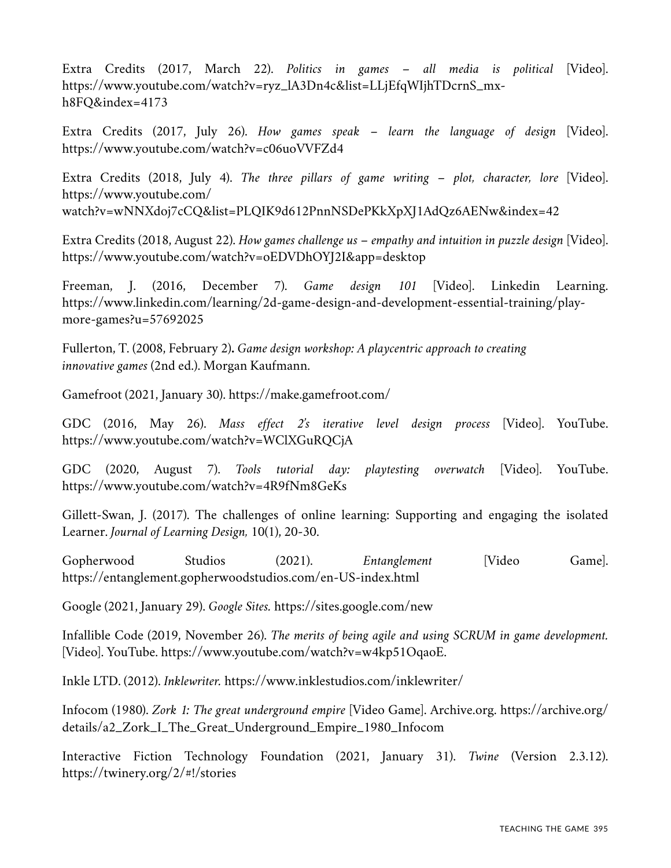Extra Credits (2017, March 22). *Politics in games – all media is political* [Video]. https://www.youtube.com/watch?v=ryz\_lA3Dn4c&list=LLjEfqWIjhTDcrnS\_mxh8FQ&index=4173

Extra Credits (2017, July 26). *How games speak – learn the language of design* [Video]. https://www.youtube.com/watch?v=c06uoVVFZd4

Extra Credits (2018, July 4). *The three pillars of game writing – plot, character, lore* [Video]. https://www.youtube.com/ watch?v=wNNXdoj7cCQ&list=PLQIK9d612PnnNSDePKkXpXJ1AdQz6AENw&index=42

Extra Credits (2018, August 22). *How games challenge us – empathy and intuition in puzzle design* [Video]. https://www.youtube.com/watch?v=oEDVDhOYJ2I&app=desktop

Freeman, J. (2016, December 7). *Game design 101* [Video]. Linkedin Learning. https://www.linkedin.com/learning/2d-game-design-and-development-essential-training/playmore-games?u=57692025

Fullerton, T. (2008, February 2)**.** *Game design workshop: A playcentric approach to creating innovative games* (2nd ed.). Morgan Kaufmann.

Gamefroot (2021, January 30). https://make.gamefroot.com/

GDC (2016, May 26). *Mass effect 2's iterative level design process* [Video]. YouTube. https://www.youtube.com/watch?v=WClXGuRQCjA

GDC (2020, August 7). *Tools tutorial day: playtesting overwatch* [Video]. YouTube. https://www.youtube.com/watch?v=4R9fNm8GeKs

Gillett-Swan, J. (2017). The challenges of online learning: Supporting and engaging the isolated Learner. *Journal of Learning Design,* 10(1), 20-30.

Gopherwood Studios (2021). *Entanglement* [Video Game]. https://entanglement.gopherwoodstudios.com/en-US-index.html

Google (2021, January 29). *Google Sites.* https://sites.google.com/new

Infallible Code (2019, November 26). *The merits of being agile and using SCRUM in game development.* [Video]. YouTube. https://www.youtube.com/watch?v=w4kp51OqaoE.

Inkle LTD. (2012). *Inklewriter.* https://www.inklestudios.com/inklewriter/

Infocom (1980). *Zork 1: The great underground empire* [Video Game]. Archive.org. https://archive.org/ details/a2\_Zork\_I\_The\_Great\_Underground\_Empire\_1980\_Infocom

Interactive Fiction Technology Foundation (2021, January 31). *Twine* (Version 2.3.12). https://twinery.org/2/#!/stories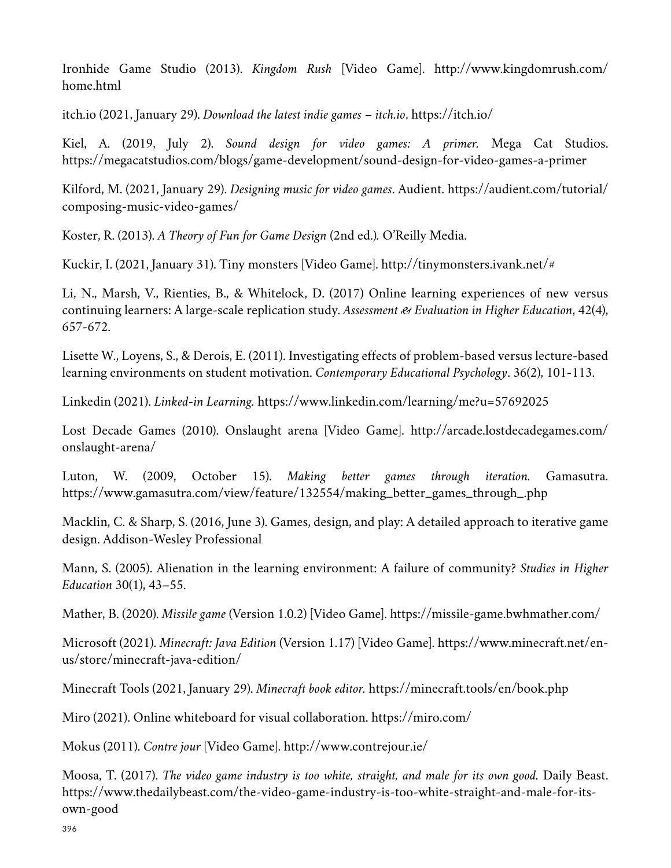Ironhide Game Studio (2013). *Kingdom Rush* [Video Game]. http://www.kingdomrush.com/ home.html

itch.io (2021, January 29). *Download the latest indie games – itch.io*. https://itch.io/

Kiel, A. (2019, July 2). *Sound design for video games: A primer.* Mega Cat Studios. https://megacatstudios.com/blogs/game-development/sound-design-for-video-games-a-primer

Kilford, M. (2021, January 29). *Designing music for video games*. Audient. https://audient.com/tutorial/ composing-music-video-games/

Koster, R. (2013). *A Theory of Fun for Game Design* (2nd ed.)*.* O'Reilly Media.

Kuckir, I. (2021, January 31). Tiny monsters [Video Game]. http://tinymonsters.ivank.net/#

Li, N., Marsh, V., Rienties, B., & Whitelock, D. (2017) Online learning experiences of new versus continuing learners: A large-scale replication study. *Assessment & Evaluation in Higher Education*, 42(4), 657-672.

Lisette W., Loyens, S., & Derois, E. (2011). Investigating effects of problem-based versus lecture-based learning environments on student motivation. *Contemporary Educational Psychology*. 36(2), 101-113.

Linkedin (2021). *Linked-in Learning.* https://www.linkedin.com/learning/me?u=57692025

Lost Decade Games (2010). Onslaught arena [Video Game]. http://arcade.lostdecadegames.com/ onslaught-arena/

Luton, W. (2009, October 15). *Making better games through iteration.* Gamasutra. https://www.gamasutra.com/view/feature/132554/making\_better\_games\_through\_.php

Macklin, C. & Sharp, S. (2016, June 3). Games, design, and play: A detailed approach to iterative game design. Addison-Wesley Professional

Mann, S. (2005). Alienation in the learning environment: A failure of community? *Studies in Higher Education* 30(1), 43–55.

Mather, B. (2020). *Missile game* (Version 1.0.2) [Video Game]. https://missile-game.bwhmather.com/

Microsoft (2021). *Minecraft: Java Edition* (Version 1.17) [Video Game]. https://www.minecraft.net/enus/store/minecraft-java-edition/

Minecraft Tools (2021, January 29). *Minecraft book editor.* https://minecraft.tools/en/book.php

Miro (2021). Online whiteboard for visual collaboration. https://miro.com/

Mokus (2011). *Contre jour* [Video Game]. http://www.contrejour.ie/

Moosa, T. (2017). *The video game industry is too white, straight, and male for its own good.* Daily Beast. https://www.thedailybeast.com/the-video-game-industry-is-too-white-straight-and-male-for-itsown-good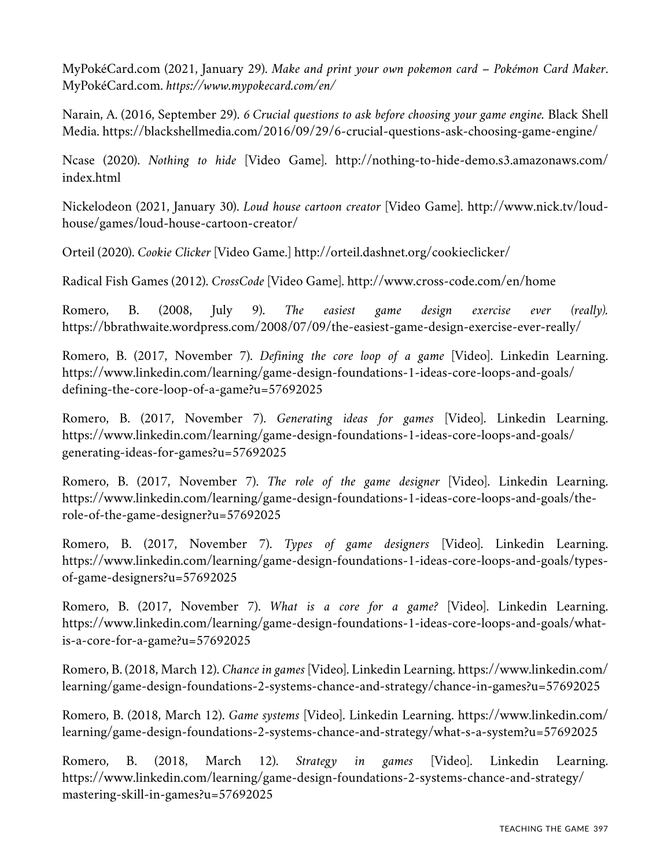MyPokéCard.com (2021, January 29). *Make and print your own pokemon card – Pokémon Card Maker*. MyPokéCard.com. *https://www.mypokecard.com/en/*

Narain, A. (2016, September 29). *6 Crucial questions to ask before choosing your game engine.* Black Shell Media. https://blackshellmedia.com/2016/09/29/6-crucial-questions-ask-choosing-game-engine/

Ncase (2020). *Nothing to hide* [Video Game]. http://nothing-to-hide-demo.s3.amazonaws.com/ index.html

Nickelodeon (2021, January 30). *Loud house cartoon creator* [Video Game]. http://www.nick.tv/loudhouse/games/loud-house-cartoon-creator/

Orteil (2020). *Cookie Clicker* [Video Game.] http://orteil.dashnet.org/cookieclicker/

Radical Fish Games (2012). *CrossCode* [Video Game]. http://www.cross-code.com/en/home

Romero, B. (2008, July 9). *The easiest game design exercise ever (really).* https://bbrathwaite.wordpress.com/2008/07/09/the-easiest-game-design-exercise-ever-really/

Romero, B. (2017, November 7). *Defining the core loop of a game* [Video]. Linkedin Learning. https://www.linkedin.com/learning/game-design-foundations-1-ideas-core-loops-and-goals/ defining-the-core-loop-of-a-game?u=57692025

Romero, B. (2017, November 7). *Generating ideas for games* [Video]. Linkedin Learning. https://www.linkedin.com/learning/game-design-foundations-1-ideas-core-loops-and-goals/ generating-ideas-for-games?u=57692025

Romero, B. (2017, November 7). *The role of the game designer* [Video]. Linkedin Learning. https://www.linkedin.com/learning/game-design-foundations-1-ideas-core-loops-and-goals/therole-of-the-game-designer?u=57692025

Romero, B. (2017, November 7). *Types of game designers* [Video]. Linkedin Learning. https://www.linkedin.com/learning/game-design-foundations-1-ideas-core-loops-and-goals/typesof-game-designers?u=57692025

Romero, B. (2017, November 7). *What is a core for a game?* [Video]. Linkedin Learning. https://www.linkedin.com/learning/game-design-foundations-1-ideas-core-loops-and-goals/whatis-a-core-for-a-game?u=57692025

Romero, B. (2018, March 12). *Chance in games* [Video]. Linkedin Learning. https://www.linkedin.com/ learning/game-design-foundations-2-systems-chance-and-strategy/chance-in-games?u=57692025

Romero, B. (2018, March 12). *Game systems* [Video]. Linkedin Learning. https://www.linkedin.com/ learning/game-design-foundations-2-systems-chance-and-strategy/what-s-a-system?u=57692025

Romero, B. (2018, March 12). *Strategy in games* [Video]. Linkedin Learning. https://www.linkedin.com/learning/game-design-foundations-2-systems-chance-and-strategy/ mastering-skill-in-games?u=57692025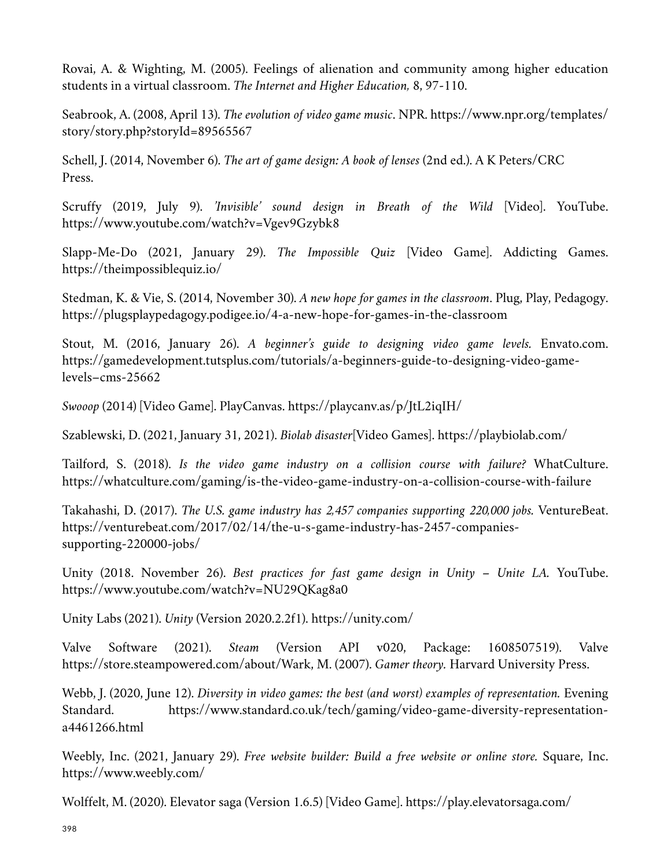Rovai, A. & Wighting, M. (2005). Feelings of alienation and community among higher education students in a virtual classroom. *The Internet and Higher Education,* 8, 97-110.

Seabrook, A. (2008, April 13). *The evolution of video game music*. NPR. https://www.npr.org/templates/ story/story.php?storyId=89565567

Schell, J. (2014, November 6). *The art of game design: A book of lenses* (2nd ed.). A K Peters/CRC Press.

Scruffy (2019, July 9). *'Invisible' sound design in Breath of the Wild* [Video]. YouTube. https://www.youtube.com/watch?v=Vgev9Gzybk8

Slapp-Me-Do (2021, January 29). *The Impossible Quiz* [Video Game]. Addicting Games. https://theimpossiblequiz.io/

Stedman, K. & Vie, S. (2014, November 30). *A new hope for games in the classroom*. Plug, Play, Pedagogy. https://plugsplaypedagogy.podigee.io/4-a-new-hope-for-games-in-the-classroom

Stout, M. (2016, January 26). *A beginner's guide to designing video game levels.* Envato.com. https://gamedevelopment.tutsplus.com/tutorials/a-beginners-guide-to-designing-video-gamelevels–cms-25662

*Swooop* (2014) [Video Game]. PlayCanvas. https://playcanv.as/p/JtL2iqIH/

Szablewski, D. (2021, January 31, 2021). *Biolab disaster*[Video Games]. https://playbiolab.com/

Tailford, S. (2018). *Is the video game industry on a collision course with failure?* WhatCulture. https://whatculture.com/gaming/is-the-video-game-industry-on-a-collision-course-with-failure

Takahashi, D. (2017). *The U.S. game industry has 2,457 companies supporting 220,000 jobs.* VentureBeat. https://venturebeat.com/2017/02/14/the-u-s-game-industry-has-2457-companiessupporting-220000-jobs/

Unity (2018. November 26). *Best practices for fast game design in Unity – Unite LA.* YouTube. https://www.youtube.com/watch?v=NU29QKag8a0

Unity Labs (2021). *Unity* (Version 2020.2.2f1). https://unity.com/

Valve Software (2021). *Steam* (Version API v020, Package: 1608507519). Valve https://store.steampowered.com/about/Wark, M. (2007). *Gamer theory.* Harvard University Press.

Webb, J. (2020, June 12). *Diversity in video games: the best (and worst) examples of representation.* Evening Standard. https://www.standard.co.uk/tech/gaming/video-game-diversity-representationa4461266.html

Weebly, Inc. (2021, January 29). *Free website builder: Build a free website or online store.* Square, Inc. https://www.weebly.com/

Wolffelt, M. (2020). Elevator saga (Version 1.6.5) [Video Game]. https://play.elevatorsaga.com/